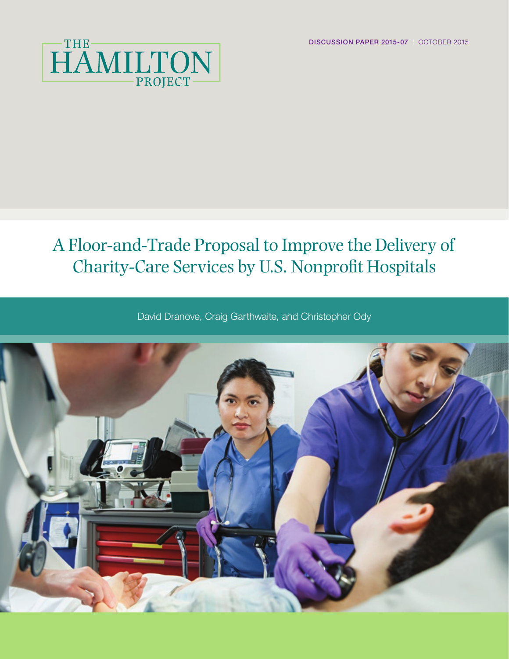DISCUSSION PAPER 2015-07 | OCTOBER 2015



## A Floor-and-Trade Proposal to Improve the Delivery of Charity-Care Services by U.S. Nonprofit Hospitals

David Dranove, Craig Garthwaite, and Christopher Ody

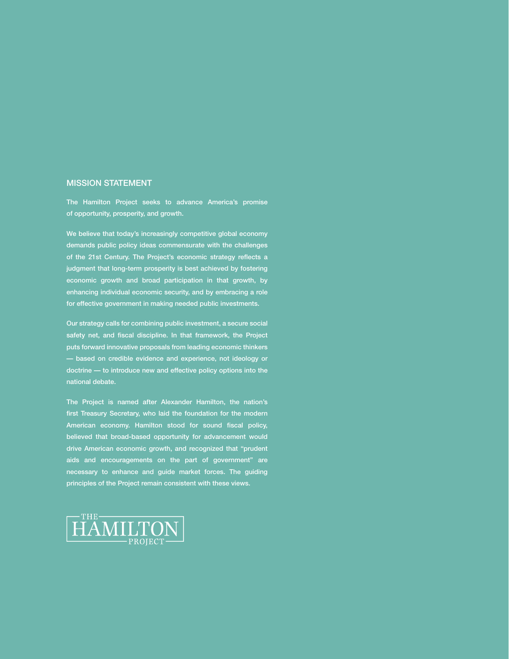#### MISSION STATEMENT

The Hamilton Project seeks to advance America's promise of opportunity, prosperity, and growth.

We believe that today's increasingly competitive global economy demands public policy ideas commensurate with the challenges of the 21st Century. The Project's economic strategy reflects a judgment that long-term prosperity is best achieved by fostering economic growth and broad participation in that growth, by enhancing individual economic security, and by embracing a role for effective government in making needed public investments.

Our strategy calls for combining public investment, a secure social safety net, and fiscal discipline. In that framework, the Project puts forward innovative proposals from leading economic thinkers — based on credible evidence and experience, not ideology or doctrine — to introduce new and effective policy options into the national debate.

The Project is named after Alexander Hamilton, the nation's first Treasury Secretary, who laid the foundation for the modern American economy. Hamilton stood for sound fiscal policy, believed that broad-based opportunity for advancement would drive American economic growth, and recognized that "prudent aids and encouragements on the part of government" are necessary to enhance and guide market forces. The guiding principles of the Project remain consistent with these views.

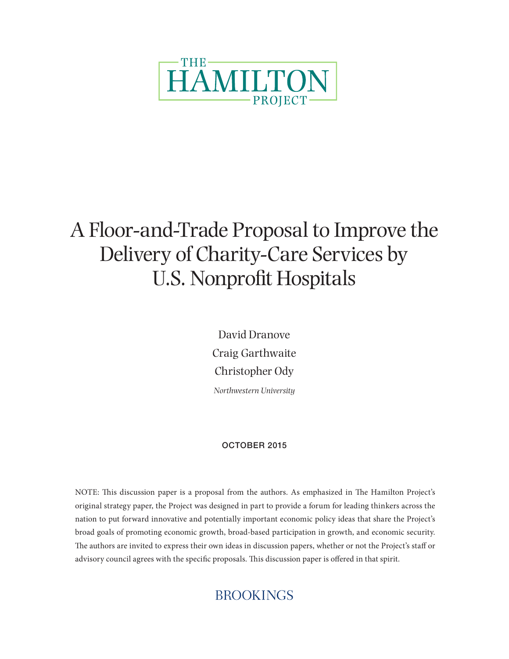

# A Floor-and-Trade Proposal to Improve the Delivery of Charity-Care Services by U.S. Nonprofit Hospitals

David Dranove Craig Garthwaite Christopher Ody *Northwestern University*

### OCTOBER 2015

NOTE: This discussion paper is a proposal from the authors. As emphasized in The Hamilton Project's original strategy paper, the Project was designed in part to provide a forum for leading thinkers across the nation to put forward innovative and potentially important economic policy ideas that share the Project's broad goals of promoting economic growth, broad-based participation in growth, and economic security. The authors are invited to express their own ideas in discussion papers, whether or not the Project's staff or advisory council agrees with the specific proposals. This discussion paper is offered in that spirit.

## **BROOKINGS**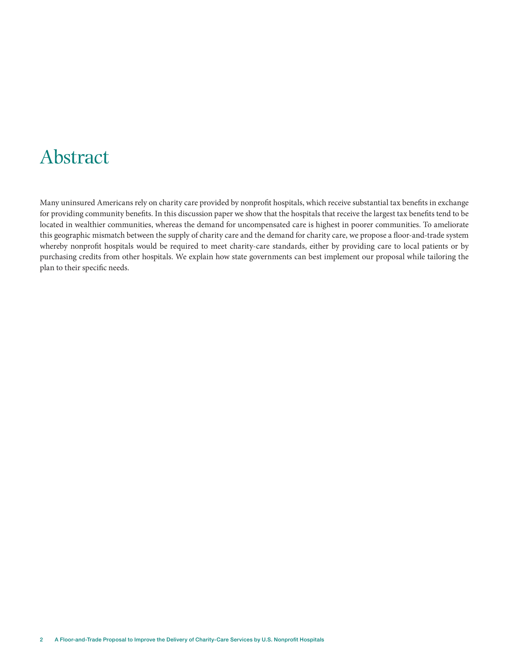## Abstract

Many uninsured Americans rely on charity care provided by nonprofit hospitals, which receive substantial tax benefits in exchange for providing community benefits. In this discussion paper we show that the hospitals that receive the largest tax benefits tend to be located in wealthier communities, whereas the demand for uncompensated care is highest in poorer communities. To ameliorate this geographic mismatch between the supply of charity care and the demand for charity care, we propose a floor-and-trade system whereby nonprofit hospitals would be required to meet charity-care standards, either by providing care to local patients or by purchasing credits from other hospitals. We explain how state governments can best implement our proposal while tailoring the plan to their specific needs.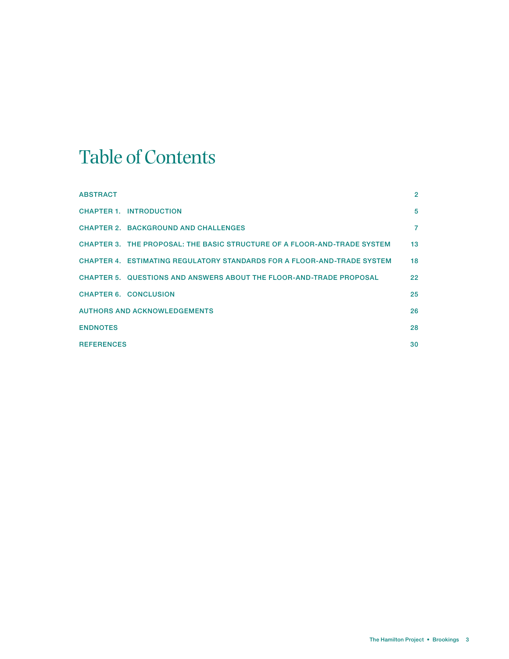# Table of Contents

| <b>ABSTRACT</b>                     |                                                                          | $\overline{2}$ |
|-------------------------------------|--------------------------------------------------------------------------|----------------|
|                                     | <b>CHAPTER 1. INTRODUCTION</b>                                           | 5              |
|                                     | <b>CHAPTER 2. BACKGROUND AND CHALLENGES</b>                              | $\mathbf{7}$   |
|                                     | CHAPTER 3. THE PROPOSAL: THE BASIC STRUCTURE OF A FLOOR-AND-TRADE SYSTEM | 13             |
|                                     | CHAPTER 4. ESTIMATING REGULATORY STANDARDS FOR A FLOOR-AND-TRADE SYSTEM  | 18             |
|                                     | CHAPTER 5. QUESTIONS AND ANSWERS ABOUT THE FLOOR-AND-TRADE PROPOSAL      | 22             |
|                                     | <b>CHAPTER 6. CONCLUSION</b>                                             | 25             |
| <b>AUTHORS AND ACKNOWLEDGEMENTS</b> |                                                                          |                |
| <b>ENDNOTES</b>                     |                                                                          | 28             |
| <b>REFERENCES</b>                   |                                                                          |                |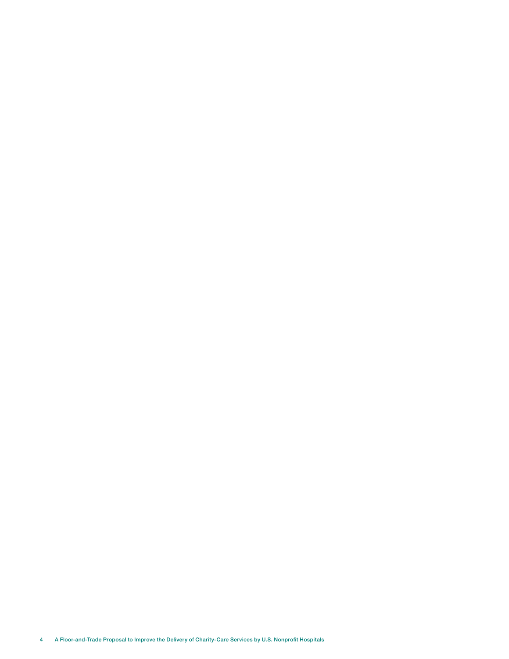4 A Floor-and-Trade Proposal to Improve the Delivery of Charity-Care Services by U.S. Nonprofit Hospitals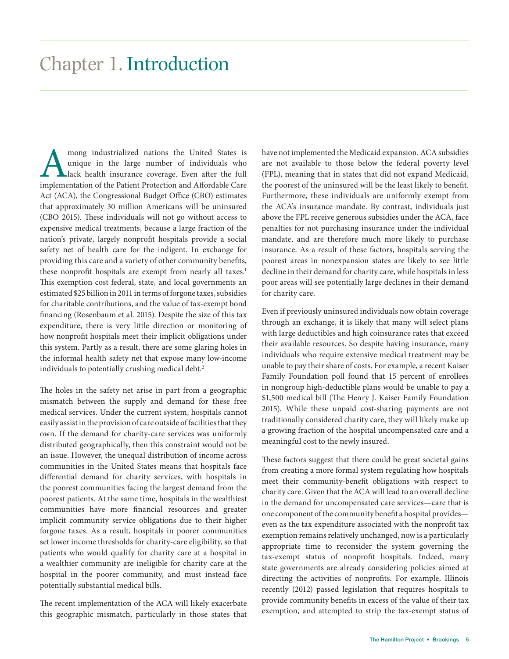Among industrialized nations the United States is<br>unique in the large number of individuals who<br>lack health insurance coverage. Even after the full<br>implementation of the Patient Protection and Affordable Care unique in the large number of individuals who lack health insurance coverage. Even after the full implementation of the Patient Protection and Affordable Care Act (ACA), the Congressional Budget Office (CBO) estimates that approximately 30 million Americans will be uninsured (CBO 2015). These individuals will not go without access to expensive medical treatments, because a large fraction of the nation's private, largely nonprofit hospitals provide a social safety net of health care for the indigent. In exchange for providing this care and a variety of other community benefits, these nonprofit hospitals are exempt from nearly all taxes.<sup>1</sup> This exemption cost federal, state, and local governments an estimated \$25 billion in 2011 in terms of forgone taxes, subsidies for charitable contributions, and the value of tax-exempt bond financing (Rosenbaum et al. 2015). Despite the size of this tax expenditure, there is very little direction or monitoring of how nonprofit hospitals meet their implicit obligations under this system. Partly as a result, there are some glaring holes in the informal health safety net that expose many low-income individuals to potentially crushing medical debt.<sup>2</sup>

The holes in the safety net arise in part from a geographic mismatch between the supply and demand for these free medical services. Under the current system, hospitals cannot easily assist in the provision of care outside of facilities that they own. If the demand for charity-care services was uniformly distributed geographically, then this constraint would not be an issue. However, the unequal distribution of income across communities in the United States means that hospitals face differential demand for charity services, with hospitals in the poorest communities facing the largest demand from the poorest patients. At the same time, hospitals in the wealthiest communities have more financial resources and greater implicit community service obligations due to their higher forgone taxes. As a result, hospitals in poorer communities set lower income thresholds for charity-care eligibility, so that patients who would qualify for charity care at a hospital in a wealthier community are ineligible for charity care at the hospital in the poorer community, and must instead face potentially substantial medical bills.

The recent implementation of the ACA will likely exacerbate this geographic mismatch, particularly in those states that have not implemented the Medicaid expansion. ACA subsidies are not available to those below the federal poverty level (FPL), meaning that in states that did not expand Medicaid, the poorest of the uninsured will be the least likely to benefit. Furthermore, these individuals are uniformly exempt from the ACA's insurance mandate. By contrast, individuals just above the FPL receive generous subsidies under the ACA, face penalties for not purchasing insurance under the individual mandate, and are therefore much more likely to purchase insurance. As a result of these factors, hospitals serving the poorest areas in nonexpansion states are likely to see little decline in their demand for charity care, while hospitals in less poor areas will see potentially large declines in their demand for charity care.

Even if previously uninsured individuals now obtain coverage through an exchange, it is likely that many will select plans with large deductibles and high coinsurance rates that exceed their available resources. So despite having insurance, many individuals who require extensive medical treatment may be unable to pay their share of costs. For example, a recent Kaiser Family Foundation poll found that 15 percent of enrollees in nongroup high-deductible plans would be unable to pay a \$1,500 medical bill (The Henry J. Kaiser Family Foundation 2015). While these unpaid cost-sharing payments are not traditionally considered charity care, they will likely make up a growing fraction of the hospital uncompensated care and a meaningful cost to the newly insured.

These factors suggest that there could be great societal gains from creating a more formal system regulating how hospitals meet their community-benefit obligations with respect to charity care. Given that the ACA will lead to an overall decline in the demand for uncompensated care services—care that is one component of the community benefit a hospital provides even as the tax expenditure associated with the nonprofit tax exemption remains relatively unchanged, now is a particularly appropriate time to reconsider the system governing the tax-exempt status of nonprofit hospitals. Indeed, many state governments are already considering policies aimed at directing the activities of nonprofits. For example, Illinois recently (2012) passed legislation that requires hospitals to provide community benefits in excess of the value of their tax exemption, and attempted to strip the tax-exempt status of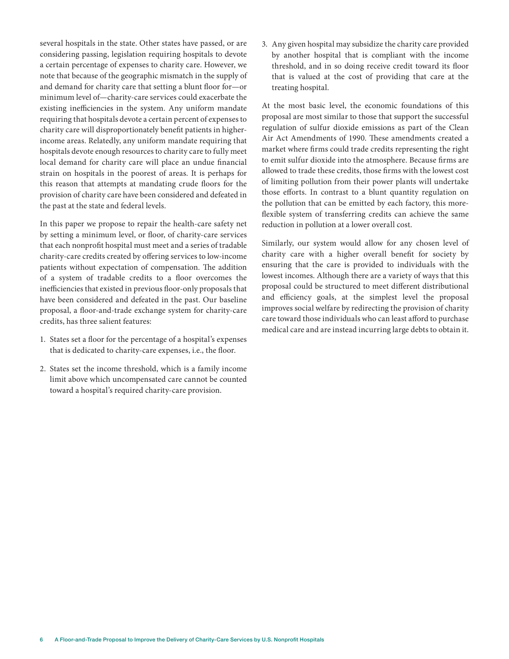several hospitals in the state. Other states have passed, or are considering passing, legislation requiring hospitals to devote a certain percentage of expenses to charity care. However, we note that because of the geographic mismatch in the supply of and demand for charity care that setting a blunt floor for—or minimum level of—charity-care services could exacerbate the existing inefficiencies in the system. Any uniform mandate requiring that hospitals devote a certain percent of expenses to charity care will disproportionately benefit patients in higherincome areas. Relatedly, any uniform mandate requiring that hospitals devote enough resources to charity care to fully meet local demand for charity care will place an undue financial strain on hospitals in the poorest of areas. It is perhaps for this reason that attempts at mandating crude floors for the provision of charity care have been considered and defeated in the past at the state and federal levels.

In this paper we propose to repair the health-care safety net by setting a minimum level, or floor, of charity-care services that each nonprofit hospital must meet and a series of tradable charity-care credits created by offering services to low-income patients without expectation of compensation. The addition of a system of tradable credits to a floor overcomes the inefficiencies that existed in previous floor-only proposals that have been considered and defeated in the past. Our baseline proposal, a floor-and-trade exchange system for charity-care credits, has three salient features:

- 1. States set a floor for the percentage of a hospital's expenses that is dedicated to charity-care expenses, i.e., the floor.
- 2. States set the income threshold, which is a family income limit above which uncompensated care cannot be counted toward a hospital's required charity-care provision.

3. Any given hospital may subsidize the charity care provided by another hospital that is compliant with the income threshold, and in so doing receive credit toward its floor that is valued at the cost of providing that care at the treating hospital.

At the most basic level, the economic foundations of this proposal are most similar to those that support the successful regulation of sulfur dioxide emissions as part of the Clean Air Act Amendments of 1990. These amendments created a market where firms could trade credits representing the right to emit sulfur dioxide into the atmosphere. Because firms are allowed to trade these credits, those firms with the lowest cost of limiting pollution from their power plants will undertake those efforts. In contrast to a blunt quantity regulation on the pollution that can be emitted by each factory, this moreflexible system of transferring credits can achieve the same reduction in pollution at a lower overall cost.

Similarly, our system would allow for any chosen level of charity care with a higher overall benefit for society by ensuring that the care is provided to individuals with the lowest incomes. Although there are a variety of ways that this proposal could be structured to meet different distributional and efficiency goals, at the simplest level the proposal improves social welfare by redirecting the provision of charity care toward those individuals who can least afford to purchase medical care and are instead incurring large debts to obtain it.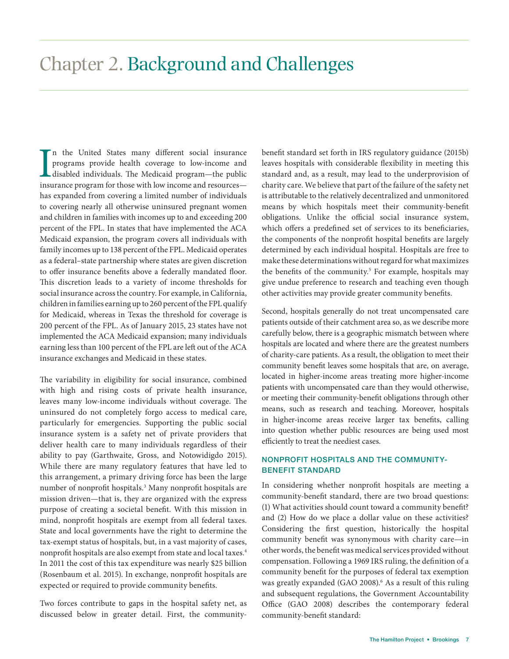I n the United States many different social insurance programs provide health coverage to low-income and disabled individuals. The Medicaid program—the public insurance program for those with low income and resources has expanded from covering a limited number of individuals to covering nearly all otherwise uninsured pregnant women and children in families with incomes up to and exceeding 200 percent of the FPL. In states that have implemented the ACA Medicaid expansion, the program covers all individuals with family incomes up to 138 percent of the FPL. Medicaid operates as a federal–state partnership where states are given discretion to offer insurance benefits above a federally mandated floor. This discretion leads to a variety of income thresholds for social insurance across the country. For example, in California, children in families earning up to 260 percent of the FPL qualify for Medicaid, whereas in Texas the threshold for coverage is 200 percent of the FPL. As of January 2015, 23 states have not implemented the ACA Medicaid expansion; many individuals earning less than 100 percent of the FPL are left out of the ACA insurance exchanges and Medicaid in these states.

The variability in eligibility for social insurance, combined with high and rising costs of private health insurance, leaves many low-income individuals without coverage. The uninsured do not completely forgo access to medical care, particularly for emergencies. Supporting the public social insurance system is a safety net of private providers that deliver health care to many individuals regardless of their ability to pay (Garthwaite, Gross, and Notowidigdo 2015). While there are many regulatory features that have led to this arrangement, a primary driving force has been the large number of nonprofit hospitals.3 Many nonprofit hospitals are mission driven—that is, they are organized with the express purpose of creating a societal benefit. With this mission in mind, nonprofit hospitals are exempt from all federal taxes. State and local governments have the right to determine the tax-exempt status of hospitals, but, in a vast majority of cases, nonprofit hospitals are also exempt from state and local taxes.4 In 2011 the cost of this tax expenditure was nearly \$25 billion (Rosenbaum et al. 2015). In exchange, nonprofit hospitals are expected or required to provide community benefits.

Two forces contribute to gaps in the hospital safety net, as discussed below in greater detail. First, the communitybenefit standard set forth in IRS regulatory guidance (2015b) leaves hospitals with considerable flexibility in meeting this standard and, as a result, may lead to the underprovision of charity care. We believe that part of the failure of the safety net is attributable to the relatively decentralized and unmonitored means by which hospitals meet their community-benefit obligations. Unlike the official social insurance system, which offers a predefined set of services to its beneficiaries, the components of the nonprofit hospital benefits are largely determined by each individual hospital. Hospitals are free to make these determinations without regard for what maximizes the benefits of the community.<sup>5</sup> For example, hospitals may give undue preference to research and teaching even though other activities may provide greater community benefits.

Second, hospitals generally do not treat uncompensated care patients outside of their catchment area so, as we describe more carefully below, there is a geographic mismatch between where hospitals are located and where there are the greatest numbers of charity-care patients. As a result, the obligation to meet their community benefit leaves some hospitals that are, on average, located in higher-income areas treating more higher-income patients with uncompensated care than they would otherwise, or meeting their community-benefit obligations through other means, such as research and teaching. Moreover, hospitals in higher-income areas receive larger tax benefits, calling into question whether public resources are being used most efficiently to treat the neediest cases.

### NONPROFIT HOSPITALS AND THE COMMUNITY-BENEFIT STANDARD

In considering whether nonprofit hospitals are meeting a community-benefit standard, there are two broad questions: (1) What activities should count toward a community benefit? and (2) How do we place a dollar value on these activities? Considering the first question, historically the hospital community benefit was synonymous with charity care—in other words, the benefit was medical services provided without compensation. Following a 1969 IRS ruling, the definition of a community benefit for the purposes of federal tax exemption was greatly expanded (GAO 2008).<sup>6</sup> As a result of this ruling and subsequent regulations, the Government Accountability Office (GAO 2008) describes the contemporary federal community-benefit standard: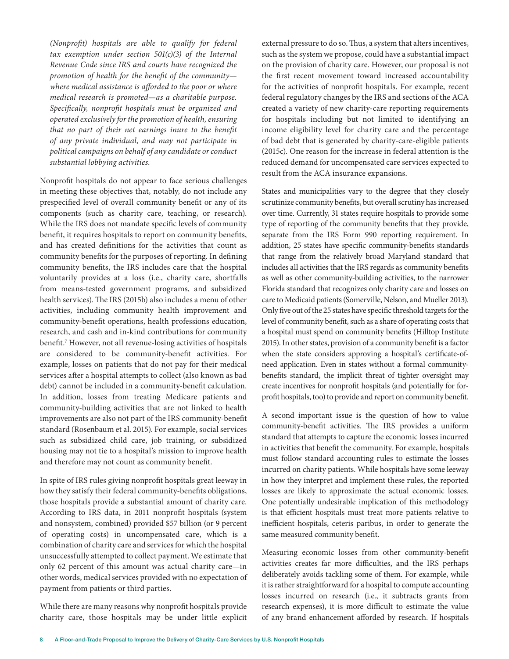*(Nonprofit) hospitals are able to qualify for federal tax exemption under section 501(c)(3) of the Internal Revenue Code since IRS and courts have recognized the promotion of health for the benefit of the community where medical assistance is afforded to the poor or where medical research is promoted—as a charitable purpose. Specifically, nonprofit hospitals must be organized and operated exclusively for the promotion of health, ensuring that no part of their net earnings inure to the benefit of any private individual, and may not participate in political campaigns on behalf of any candidate or conduct substantial lobbying activities.*

Nonprofit hospitals do not appear to face serious challenges in meeting these objectives that, notably, do not include any prespecified level of overall community benefit or any of its components (such as charity care, teaching, or research). While the IRS does not mandate specific levels of community benefit, it requires hospitals to report on community benefits, and has created definitions for the activities that count as community benefits for the purposes of reporting. In defining community benefits, the IRS includes care that the hospital voluntarily provides at a loss (i.e., charity care, shortfalls from means-tested government programs, and subsidized health services). The IRS (2015b) also includes a menu of other activities, including community health improvement and community-benefit operations, health professions education, research, and cash and in-kind contributions for community benefit.7 However, not all revenue-losing activities of hospitals are considered to be community-benefit activities. For example, losses on patients that do not pay for their medical services after a hospital attempts to collect (also known as bad debt) cannot be included in a community-benefit calculation. In addition, losses from treating Medicare patients and community-building activities that are not linked to health improvements are also not part of the IRS community-benefit standard (Rosenbaum et al. 2015). For example, social services such as subsidized child care, job training, or subsidized housing may not tie to a hospital's mission to improve health and therefore may not count as community benefit.

In spite of IRS rules giving nonprofit hospitals great leeway in how they satisfy their federal community-benefits obligations, those hospitals provide a substantial amount of charity care. According to IRS data, in 2011 nonprofit hospitals (system and nonsystem, combined) provided \$57 billion (or 9 percent of operating costs) in uncompensated care, which is a combination of charity care and services for which the hospital unsuccessfully attempted to collect payment. We estimate that only 62 percent of this amount was actual charity care—in other words, medical services provided with no expectation of payment from patients or third parties.

While there are many reasons why nonprofit hospitals provide charity care, those hospitals may be under little explicit external pressure to do so. Thus, a system that alters incentives, such as the system we propose, could have a substantial impact on the provision of charity care. However, our proposal is not the first recent movement toward increased accountability for the activities of nonprofit hospitals. For example, recent federal regulatory changes by the IRS and sections of the ACA created a variety of new charity-care reporting requirements for hospitals including but not limited to identifying an income eligibility level for charity care and the percentage of bad debt that is generated by charity-care-eligible patients (2015c). One reason for the increase in federal attention is the reduced demand for uncompensated care services expected to result from the ACA insurance expansions.

States and municipalities vary to the degree that they closely scrutinize community benefits, but overall scrutiny has increased over time. Currently, 31 states require hospitals to provide some type of reporting of the community benefits that they provide, separate from the IRS Form 990 reporting requirement. In addition, 25 states have specific community-benefits standards that range from the relatively broad Maryland standard that includes all activities that the IRS regards as community benefits as well as other community-building activities, to the narrower Florida standard that recognizes only charity care and losses on care to Medicaid patients (Somerville, Nelson, and Mueller 2013). Only five out of the 25 states have specific threshold targets for the level of community benefit, such as a share of operating costs that a hospital must spend on community benefits (Hilltop Institute 2015). In other states, provision of a community benefit is a factor when the state considers approving a hospital's certificate-ofneed application. Even in states without a formal communitybenefits standard, the implicit threat of tighter oversight may create incentives for nonprofit hospitals (and potentially for forprofit hospitals, too) to provide and report on community benefit.

A second important issue is the question of how to value community-benefit activities. The IRS provides a uniform standard that attempts to capture the economic losses incurred in activities that benefit the community. For example, hospitals must follow standard accounting rules to estimate the losses incurred on charity patients. While hospitals have some leeway in how they interpret and implement these rules, the reported losses are likely to approximate the actual economic losses. One potentially undesirable implication of this methodology is that efficient hospitals must treat more patients relative to inefficient hospitals, ceteris paribus, in order to generate the same measured community benefit.

Measuring economic losses from other community-benefit activities creates far more difficulties, and the IRS perhaps deliberately avoids tackling some of them. For example, while it is rather straightforward for a hospital to compute accounting losses incurred on research (i.e., it subtracts grants from research expenses), it is more difficult to estimate the value of any brand enhancement afforded by research. If hospitals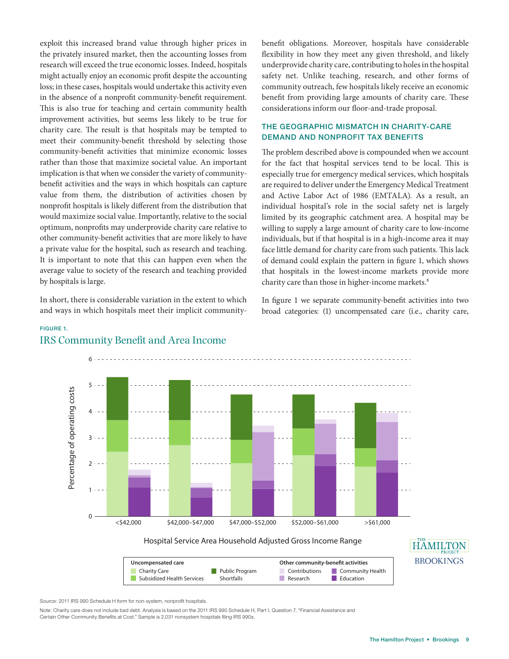exploit this increased brand value through higher prices in the privately insured market, then the accounting losses from research will exceed the true economic losses. Indeed, hospitals might actually enjoy an economic profit despite the accounting loss; in these cases, hospitals would undertake this activity even in the absence of a nonprofit community-benefit requirement. This is also true for teaching and certain community health improvement activities, but seems less likely to be true for charity care. The result is that hospitals may be tempted to meet their community-benefit threshold by selecting those community-benefit activities that minimize economic losses rather than those that maximize societal value. An important implication is that when we consider the variety of communitybenefit activities and the ways in which hospitals can capture value from them, the distribution of activities chosen by nonprofit hospitals is likely different from the distribution that would maximize social value. Importantly, relative to the social optimum, nonprofits may underprovide charity care relative to other community-benefit activities that are more likely to have a private value for the hospital, such as research and teaching. It is important to note that this can happen even when the average value to society of the research and teaching provided by hospitals is large.

In short, there is considerable variation in the extent to which and ways in which hospitals meet their implicit communitybenefit obligations. Moreover, hospitals have considerable flexibility in how they meet any given threshold, and likely underprovide charity care, contributing to holes in the hospital safety net. Unlike teaching, research, and other forms of community outreach, few hospitals likely receive an economic benefit from providing large amounts of charity care. These considerations inform our floor-and-trade proposal.

### THE GEOGRAPHIC MISMATCH IN CHARITY-CARE DEMAND AND NONPROFIT TAX BENEFITS

The problem described above is compounded when we account for the fact that hospital services tend to be local. This is especially true for emergency medical services, which hospitals are required to deliver under the Emergency Medical Treatment and Active Labor Act of 1986 (EMTALA). As a result, an individual hospital's role in the social safety net is largely limited by its geographic catchment area. A hospital may be willing to supply a large amount of charity care to low-income individuals, but if that hospital is in a high-income area it may face little demand for charity care from such patients. This lack of demand could explain the pattern in figure 1, which shows that hospitals in the lowest-income markets provide more charity care than those in higher-income markets.<sup>8</sup>

In figure 1 we separate community-benefit activities into two broad categories: (1) uncompensated care (i.e., charity care,

#### FIGURE 1.



## IRS Community Benefit and Area Income



Source: 2011 IRS 990 Schedule H form for non-system, nonprofit hospitals.

Note: Charity care does not include bad debt. Analysis is based on the 2011 IRS 990 Schedule H, Part I, Question 7, "Financial Assistance and Certain Other Community Benefits at Cost." Sample is 2,031 nonsystem hospitals filing IRS 990s.

**BROOKINGS**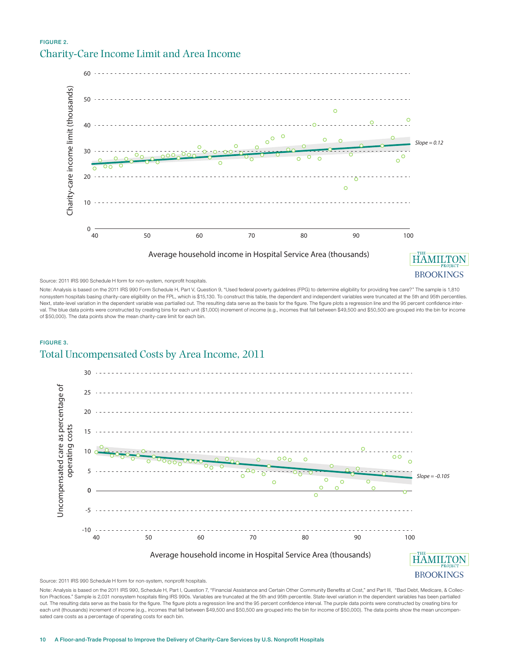### FIGURE 2. Charity-Care Income Limit and Area Income



Source: 2011 IRS 990 Schedule H form for non-system, nonprofit hospitals.

Note: Analysis is based on the 2011 IRS 990 Form Schedule H, Part V, Question 9, "Used federal poverty guidelines (FPG) to determine eligibility for providing free care?" The sample is 1,810 nonsystem hospitals basing charity-care eligibility on the FPL, which is \$15,130. To construct this table, the dependent and independent variables were truncated at the 5th and 95th percentiles. Next, state-level variation in the dependent variable was partialled out. The resulting data serve as the basis for the figure. The figure plots a regression line and the 95 percent confidence interval. The blue data points were constructed by creating bins for each unit (\$1,000) increment of income (e.g., incomes that fall between \$49,500 and \$50,500 are grouped into the bin for income of \$50,000). The data points show the mean charity-care limit for each bin.

## FIGURE 3. Total Uncompensated Costs by Area Income, 2011



Source: 2011 IRS 990 Schedule H form for non-system, nonprofit hospitals.

Note: Analysis is based on the 2011 IRS 990, Schedule H, Part I, Question 7, "Financial Assistance and Certain Other Community Benefits at Cost," and Part III, "Bad Debt, Medicare, & Collection Practices." Sample is 2,031 nonsystem hospitals filing IRS 990s. Variables are truncated at the 5th and 95th percentile. State-level variation in the dependent variables has been partialled out. The resulting data serve as the basis for the figure. The figure plots a regression line and the 95 percent confidence interval. The purple data points were constructed by creating bins for each unit (thousands) increment of income (e.g., incomes that fall between \$49,500 and \$50,500 are grouped into the bin for income of \$50,000). The data points show the mean uncompensated care costs as a percentage of operating costs for each bin.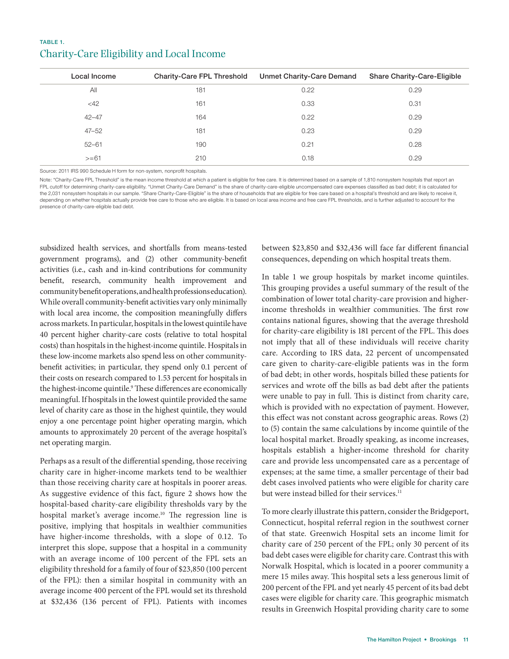## TABLE 1. Charity-Care Eligibility and Local Income

| Local Income | Charity-Care FPL Threshold | Unmet Charity-Care Demand | <b>Share Charity-Care-Eligible</b> |
|--------------|----------------------------|---------------------------|------------------------------------|
| All          | 181                        | 0.22                      | 0.29                               |
| $<$ 42       | 161                        | 0.33                      | 0.31                               |
| $42 - 47$    | 164                        | 0.22                      | 0.29                               |
| $47 - 52$    | 181                        | 0.23                      | 0.29                               |
| $52 - 61$    | 190                        | 0.21                      | 0.28                               |
| $>= 61$      | 210                        | 0.18                      | 0.29                               |

Source: 2011 IRS 990 Schedule H form for non-system, nonprofit hospitals.

Note: "Charity-Care FPL Threshold" is the mean income threshold at which a patient is eligible for free care. It is determined based on a sample of 1,810 nonsystem hospitals that report an FPL cutoff for determining charity-care eligibility. "Unmet Charity-Care Demand" is the share of charity-care-eligible uncompensated care expenses classified as bad debt; it is calculated for the 2,031 nonsystem hospitals in our sample. "Share Charity-Care-Eligible" is the share of households that are eligible for free care based on a hospital's threshold and are likely to receive it, depending on whether hospitals actually provide free care to those who are eligible. It is based on local area income and free care FPL thresholds, and is further adjusted to account for the presence of charity-care-eligible bad debt.

subsidized health services, and shortfalls from means-tested government programs), and (2) other community-benefit activities (i.e., cash and in-kind contributions for community benefit, research, community health improvement and community benefit operations, and health professions education). While overall community-benefit activities vary only minimally with local area income, the composition meaningfully differs across markets. In particular, hospitals in the lowest quintile have 40 percent higher charity-care costs (relative to total hospital costs) than hospitals in the highest-income quintile. Hospitals in these low-income markets also spend less on other communitybenefit activities; in particular, they spend only 0.1 percent of their costs on research compared to 1.53 percent for hospitals in the highest-income quintile.<sup>9</sup> These differences are economically meaningful. If hospitals in the lowest quintile provided the same level of charity care as those in the highest quintile, they would enjoy a one percentage point higher operating margin, which amounts to approximately 20 percent of the average hospital's net operating margin.

Perhaps as a result of the differential spending, those receiving charity care in higher-income markets tend to be wealthier than those receiving charity care at hospitals in poorer areas. As suggestive evidence of this fact, figure 2 shows how the hospital-based charity-care eligibility thresholds vary by the hospital market's average income.10 The regression line is positive, implying that hospitals in wealthier communities have higher-income thresholds, with a slope of 0.12. To interpret this slope, suppose that a hospital in a community with an average income of 100 percent of the FPL sets an eligibility threshold for a family of four of \$23,850 (100 percent of the FPL): then a similar hospital in community with an average income 400 percent of the FPL would set its threshold at \$32,436 (136 percent of FPL). Patients with incomes

between \$23,850 and \$32,436 will face far different financial consequences, depending on which hospital treats them.

In table 1 we group hospitals by market income quintiles. This grouping provides a useful summary of the result of the combination of lower total charity-care provision and higherincome thresholds in wealthier communities. The first row contains national figures, showing that the average threshold for charity-care eligibility is 181 percent of the FPL. This does not imply that all of these individuals will receive charity care. According to IRS data, 22 percent of uncompensated care given to charity-care-eligible patients was in the form of bad debt; in other words, hospitals billed these patients for services and wrote off the bills as bad debt after the patients were unable to pay in full. This is distinct from charity care, which is provided with no expectation of payment. However, this effect was not constant across geographic areas. Rows (2) to (5) contain the same calculations by income quintile of the local hospital market. Broadly speaking, as income increases, hospitals establish a higher-income threshold for charity care and provide less uncompensated care as a percentage of expenses; at the same time, a smaller percentage of their bad debt cases involved patients who were eligible for charity care but were instead billed for their services.<sup>11</sup>

To more clearly illustrate this pattern, consider the Bridgeport, Connecticut, hospital referral region in the southwest corner of that state. Greenwich Hospital sets an income limit for charity care of 250 percent of the FPL; only 30 percent of its bad debt cases were eligible for charity care. Contrast this with Norwalk Hospital, which is located in a poorer community a mere 15 miles away. This hospital sets a less generous limit of 200 percent of the FPL and yet nearly 45 percent of its bad debt cases were eligible for charity care. This geographic mismatch results in Greenwich Hospital providing charity care to some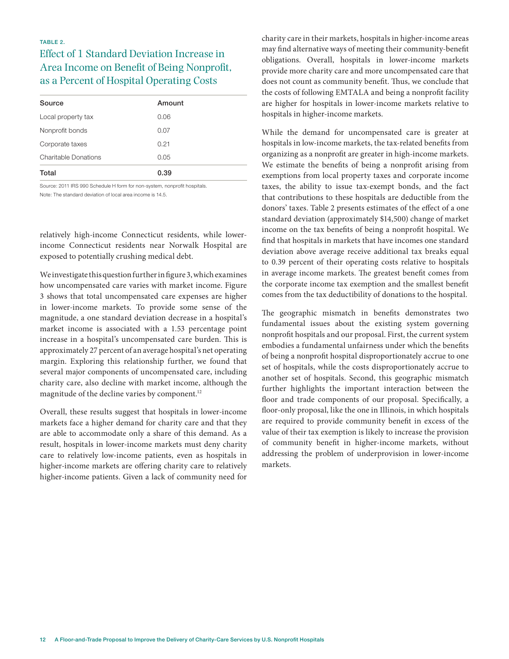#### TABLE 2.

## Effect of 1 Standard Deviation Increase in Area Income on Benefit of Being Nonprofit, as a Percent of Hospital Operating Costs

| Source               | Amount |
|----------------------|--------|
| Local property tax   | 0.06   |
| Nonprofit bonds      | 0.07   |
| Corporate taxes      | 0.21   |
| Charitable Donations | 0.05   |
| Total                | 0.39   |

Source: 2011 IRS 990 Schedule H form for non-system, nonprofit hospitals. Note: The standard deviation of local area income is 14.5.

relatively high-income Connecticut residents, while lowerincome Connecticut residents near Norwalk Hospital are exposed to potentially crushing medical debt.

We investigate this question further in figure 3, which examines how uncompensated care varies with market income. Figure 3 shows that total uncompensated care expenses are higher in lower-income markets. To provide some sense of the magnitude, a one standard deviation decrease in a hospital's market income is associated with a 1.53 percentage point increase in a hospital's uncompensated care burden. This is approximately 27 percent of an average hospital's net operating margin. Exploring this relationship further, we found that several major components of uncompensated care, including charity care, also decline with market income, although the magnitude of the decline varies by component.<sup>12</sup>

Overall, these results suggest that hospitals in lower-income markets face a higher demand for charity care and that they are able to accommodate only a share of this demand. As a result, hospitals in lower-income markets must deny charity care to relatively low-income patients, even as hospitals in higher-income markets are offering charity care to relatively higher-income patients. Given a lack of community need for

charity care in their markets, hospitals in higher-income areas may find alternative ways of meeting their community-benefit obligations. Overall, hospitals in lower-income markets provide more charity care and more uncompensated care that does not count as community benefit. Thus, we conclude that the costs of following EMTALA and being a nonprofit facility are higher for hospitals in lower-income markets relative to hospitals in higher-income markets.

While the demand for uncompensated care is greater at hospitals in low-income markets, the tax-related benefits from organizing as a nonprofit are greater in high-income markets. We estimate the benefits of being a nonprofit arising from exemptions from local property taxes and corporate income taxes, the ability to issue tax-exempt bonds, and the fact that contributions to these hospitals are deductible from the donors' taxes. Table 2 presents estimates of the effect of a one standard deviation (approximately \$14,500) change of market income on the tax benefits of being a nonprofit hospital. We find that hospitals in markets that have incomes one standard deviation above average receive additional tax breaks equal to 0.39 percent of their operating costs relative to hospitals in average income markets. The greatest benefit comes from the corporate income tax exemption and the smallest benefit comes from the tax deductibility of donations to the hospital.

The geographic mismatch in benefits demonstrates two fundamental issues about the existing system governing nonprofit hospitals and our proposal. First, the current system embodies a fundamental unfairness under which the benefits of being a nonprofit hospital disproportionately accrue to one set of hospitals, while the costs disproportionately accrue to another set of hospitals. Second, this geographic mismatch further highlights the important interaction between the floor and trade components of our proposal. Specifically, a floor-only proposal, like the one in Illinois, in which hospitals are required to provide community benefit in excess of the value of their tax exemption is likely to increase the provision of community benefit in higher-income markets, without addressing the problem of underprovision in lower-income markets.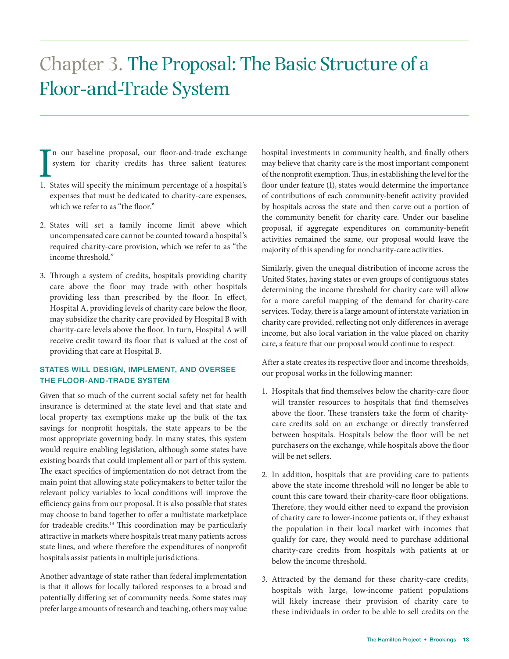# Chapter 3. The Proposal: The Basic Structure of a Floor-and-Trade System

In our baseline proposal, our floor-and-trade exchange<br>system for charity credits has three salient features:<br>1. States will specify the minimum percentage of a hospital's n our baseline proposal, our floor-and-trade exchange system for charity credits has three salient features:

- expenses that must be dedicated to charity-care expenses, which we refer to as "the floor."
- 2. States will set a family income limit above which uncompensated care cannot be counted toward a hospital's required charity-care provision, which we refer to as "the income threshold."
- 3. Through a system of credits, hospitals providing charity care above the floor may trade with other hospitals providing less than prescribed by the floor. In effect, Hospital A, providing levels of charity care below the floor, may subsidize the charity care provided by Hospital B with charity-care levels above the floor. In turn, Hospital A will receive credit toward its floor that is valued at the cost of providing that care at Hospital B.

### STATES WILL DESIGN, IMPLEMENT, AND OVERSEE THE FLOOR-AND-TRADE SYSTEM

Given that so much of the current social safety net for health insurance is determined at the state level and that state and local property tax exemptions make up the bulk of the tax savings for nonprofit hospitals, the state appears to be the most appropriate governing body. In many states, this system would require enabling legislation, although some states have existing boards that could implement all or part of this system. The exact specifics of implementation do not detract from the main point that allowing state policymakers to better tailor the relevant policy variables to local conditions will improve the efficiency gains from our proposal. It is also possible that states may choose to band together to offer a multistate marketplace for tradeable credits.13 This coordination may be particularly attractive in markets where hospitals treat many patients across state lines, and where therefore the expenditures of nonprofit hospitals assist patients in multiple jurisdictions.

Another advantage of state rather than federal implementation is that it allows for locally tailored responses to a broad and potentially differing set of community needs. Some states may prefer large amounts of research and teaching, others may value hospital investments in community health, and finally others may believe that charity care is the most important component of the nonprofit exemption. Thus, in establishing the level for the floor under feature (1), states would determine the importance of contributions of each community-benefit activity provided by hospitals across the state and then carve out a portion of the community benefit for charity care. Under our baseline proposal, if aggregate expenditures on community-benefit activities remained the same, our proposal would leave the majority of this spending for noncharity-care activities.

Similarly, given the unequal distribution of income across the United States, having states or even groups of contiguous states determining the income threshold for charity care will allow for a more careful mapping of the demand for charity-care services. Today, there is a large amount of interstate variation in charity care provided, reflecting not only differences in average income, but also local variation in the value placed on charity care, a feature that our proposal would continue to respect.

After a state creates its respective floor and income thresholds, our proposal works in the following manner:

- 1. Hospitals that find themselves below the charity-care floor will transfer resources to hospitals that find themselves above the floor. These transfers take the form of charitycare credits sold on an exchange or directly transferred between hospitals. Hospitals below the floor will be net purchasers on the exchange, while hospitals above the floor will be net sellers.
- 2. In addition, hospitals that are providing care to patients above the state income threshold will no longer be able to count this care toward their charity-care floor obligations. Therefore, they would either need to expand the provision of charity care to lower-income patients or, if they exhaust the population in their local market with incomes that qualify for care, they would need to purchase additional charity-care credits from hospitals with patients at or below the income threshold.
- 3. Attracted by the demand for these charity-care credits, hospitals with large, low-income patient populations will likely increase their provision of charity care to these individuals in order to be able to sell credits on the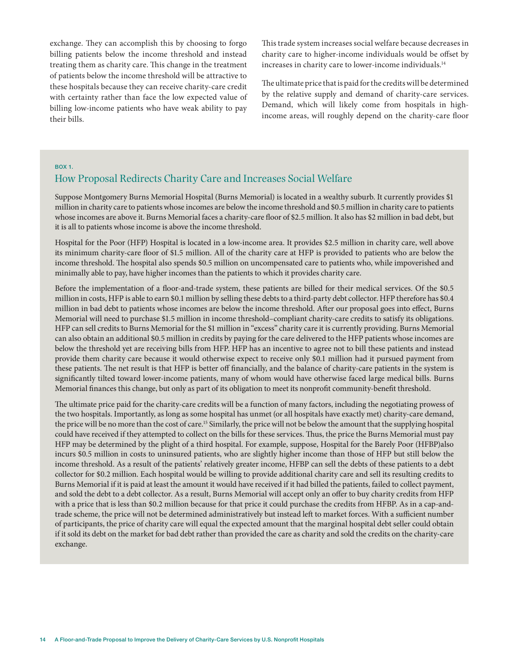exchange. They can accomplish this by choosing to forgo billing patients below the income threshold and instead treating them as charity care. This change in the treatment of patients below the income threshold will be attractive to these hospitals because they can receive charity-care credit with certainty rather than face the low expected value of billing low-income patients who have weak ability to pay their bills.

This trade system increases social welfare because decreases in charity care to higher-income individuals would be offset by increases in charity care to lower-income individuals.<sup>14</sup>

The ultimate price that is paid for the credits will be determined by the relative supply and demand of charity-care services. Demand, which will likely come from hospitals in highincome areas, will roughly depend on the charity-care floor

#### BOX 1.

## How Proposal Redirects Charity Care and Increases Social Welfare

Suppose Montgomery Burns Memorial Hospital (Burns Memorial) is located in a wealthy suburb. It currently provides \$1 million in charity care to patients whose incomes are below the income threshold and \$0.5 million in charity care to patients whose incomes are above it. Burns Memorial faces a charity-care floor of \$2.5 million. It also has \$2 million in bad debt, but it is all to patients whose income is above the income threshold.

Hospital for the Poor (HFP) Hospital is located in a low-income area. It provides \$2.5 million in charity care, well above its minimum charity-care floor of \$1.5 million. All of the charity care at HFP is provided to patients who are below the income threshold. The hospital also spends \$0.5 million on uncompensated care to patients who, while impoverished and minimally able to pay, have higher incomes than the patients to which it provides charity care.

Before the implementation of a floor-and-trade system, these patients are billed for their medical services. Of the \$0.5 million in costs, HFP is able to earn \$0.1 million by selling these debts to a third-party debt collector. HFP therefore has \$0.4 million in bad debt to patients whose incomes are below the income threshold. After our proposal goes into effect, Burns Memorial will need to purchase \$1.5 million in income threshold–compliant charity-care credits to satisfy its obligations. HFP can sell credits to Burns Memorial for the \$1 million in "excess" charity care it is currently providing. Burns Memorial can also obtain an additional \$0.5 million in credits by paying for the care delivered to the HFP patients whose incomes are below the threshold yet are receiving bills from HFP. HFP has an incentive to agree not to bill these patients and instead provide them charity care because it would otherwise expect to receive only \$0.1 million had it pursued payment from these patients. The net result is that HFP is better off financially, and the balance of charity-care patients in the system is significantly tilted toward lower-income patients, many of whom would have otherwise faced large medical bills. Burns Memorial finances this change, but only as part of its obligation to meet its nonprofit community-benefit threshold.

The ultimate price paid for the charity-care credits will be a function of many factors, including the negotiating prowess of the two hospitals. Importantly, as long as some hospital has unmet (or all hospitals have exactly met) charity-care demand, the price will be no more than the cost of care.15 Similarly, the price will not be below the amount that the supplying hospital could have received if they attempted to collect on the bills for these services. Thus, the price the Burns Memorial must pay HFP may be determined by the plight of a third hospital. For example, suppose, Hospital for the Barely Poor (HFBP)also incurs \$0.5 million in costs to uninsured patients, who are slightly higher income than those of HFP but still below the income threshold. As a result of the patients' relatively greater income, HFBP can sell the debts of these patients to a debt collector for \$0.2 million. Each hospital would be willing to provide additional charity care and sell its resulting credits to Burns Memorial if it is paid at least the amount it would have received if it had billed the patients, failed to collect payment, and sold the debt to a debt collector. As a result, Burns Memorial will accept only an offer to buy charity credits from HFP with a price that is less than \$0.2 million because for that price it could purchase the credits from HFBP. As in a cap-andtrade scheme, the price will not be determined administratively but instead left to market forces. With a sufficient number of participants, the price of charity care will equal the expected amount that the marginal hospital debt seller could obtain if it sold its debt on the market for bad debt rather than provided the care as charity and sold the credits on the charity-care exchange.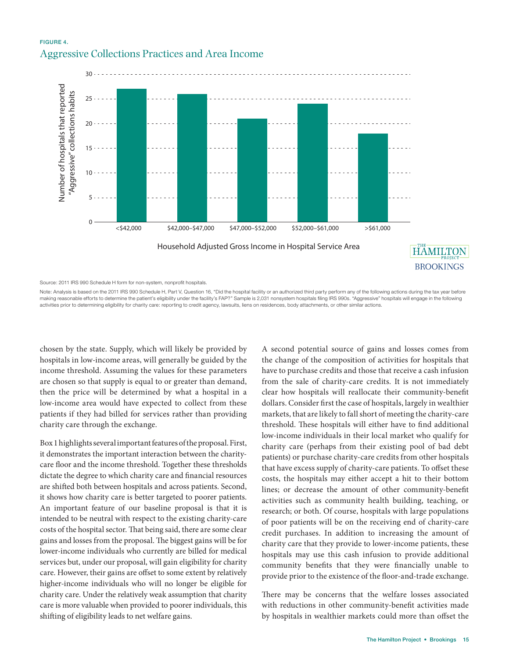### FIGURE 4. Aggressive Collections Practices and Area Income



Source: 2011 IRS 990 Schedule H form for non-system, nonprofit hospitals.

Note: Analysis is based on the 2011 IRS 990 Schedule H, Part V, Question 16, "Did the hospital facility or an authorized third party perform any of the following actions during the tax year before making reasonable efforts to determine the patient's eligibility under the facility's FAP?" Sample is 2,031 nonsystem hospitals filing IRS 990s. "Aggressive" hospitals will engage in the following

chosen by the state. Supply, which will likely be provided by hospitals in low-income areas, will generally be guided by the income threshold. Assuming the values for these parameters are chosen so that supply is equal to or greater than demand, then the price will be determined by what a hospital in a low-income area would have expected to collect from these patients if they had billed for services rather than providing charity care through the exchange.

Box 1 highlights several important features of the proposal. First, it demonstrates the important interaction between the charitycare floor and the income threshold. Together these thresholds dictate the degree to which charity care and financial resources are shifted both between hospitals and across patients. Second, it shows how charity care is better targeted to poorer patients. An important feature of our baseline proposal is that it is intended to be neutral with respect to the existing charity-care costs of the hospital sector. That being said, there are some clear gains and losses from the proposal. The biggest gains will be for lower-income individuals who currently are billed for medical services but, under our proposal, will gain eligibility for charity care. However, their gains are offset to some extent by relatively higher-income individuals who will no longer be eligible for charity care. Under the relatively weak assumption that charity care is more valuable when provided to poorer individuals, this shifting of eligibility leads to net welfare gains.

A second potential source of gains and losses comes from the change of the composition of activities for hospitals that have to purchase credits and those that receive a cash infusion from the sale of charity-care credits. It is not immediately clear how hospitals will reallocate their community-benefit dollars. Consider first the case of hospitals, largely in wealthier markets, that are likely to fall short of meeting the charity-care threshold. These hospitals will either have to find additional low-income individuals in their local market who qualify for charity care (perhaps from their existing pool of bad debt patients) or purchase charity-care credits from other hospitals that have excess supply of charity-care patients. To offset these costs, the hospitals may either accept a hit to their bottom lines; or decrease the amount of other community-benefit activities such as community health building, teaching, or research; or both. Of course, hospitals with large populations of poor patients will be on the receiving end of charity-care credit purchases. In addition to increasing the amount of charity care that they provide to lower-income patients, these hospitals may use this cash infusion to provide additional community benefits that they were financially unable to provide prior to the existence of the floor-and-trade exchange.

There may be concerns that the welfare losses associated with reductions in other community-benefit activities made by hospitals in wealthier markets could more than offset the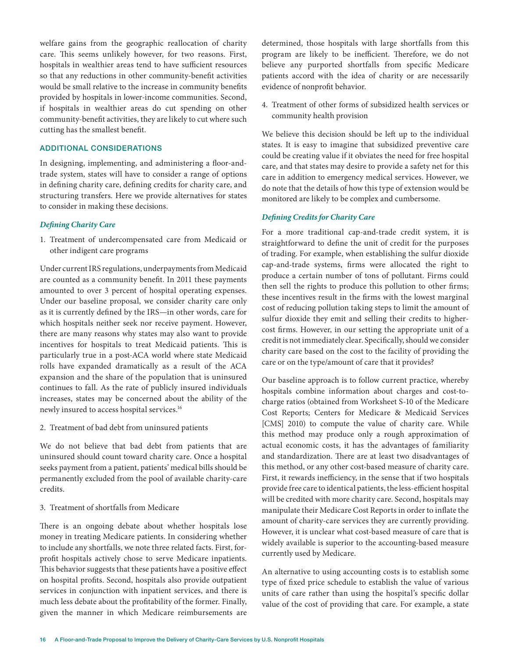welfare gains from the geographic reallocation of charity care. This seems unlikely however, for two reasons. First, hospitals in wealthier areas tend to have sufficient resources so that any reductions in other community-benefit activities would be small relative to the increase in community benefits provided by hospitals in lower-income communities. Second, if hospitals in wealthier areas do cut spending on other community-benefit activities, they are likely to cut where such cutting has the smallest benefit.

#### ADDITIONAL CONSIDERATIONS

In designing, implementing, and administering a floor-andtrade system, states will have to consider a range of options in defining charity care, defining credits for charity care, and structuring transfers. Here we provide alternatives for states to consider in making these decisions.

#### *Defining Charity Care*

1. Treatment of undercompensated care from Medicaid or other indigent care programs

Under current IRS regulations, underpayments from Medicaid are counted as a community benefit. In 2011 these payments amounted to over 3 percent of hospital operating expenses. Under our baseline proposal, we consider charity care only as it is currently defined by the IRS—in other words, care for which hospitals neither seek nor receive payment. However, there are many reasons why states may also want to provide incentives for hospitals to treat Medicaid patients. This is particularly true in a post-ACA world where state Medicaid rolls have expanded dramatically as a result of the ACA expansion and the share of the population that is uninsured continues to fall. As the rate of publicly insured individuals increases, states may be concerned about the ability of the newly insured to access hospital services.16

2. Treatment of bad debt from uninsured patients

We do not believe that bad debt from patients that are uninsured should count toward charity care. Once a hospital seeks payment from a patient, patients' medical bills should be permanently excluded from the pool of available charity-care credits.

#### 3. Treatment of shortfalls from Medicare

There is an ongoing debate about whether hospitals lose money in treating Medicare patients. In considering whether to include any shortfalls, we note three related facts. First, forprofit hospitals actively chose to serve Medicare inpatients. This behavior suggests that these patients have a positive effect on hospital profits. Second, hospitals also provide outpatient services in conjunction with inpatient services, and there is much less debate about the profitability of the former. Finally, given the manner in which Medicare reimbursements are determined, those hospitals with large shortfalls from this program are likely to be inefficient. Therefore, we do not believe any purported shortfalls from specific Medicare patients accord with the idea of charity or are necessarily evidence of nonprofit behavior.

4. Treatment of other forms of subsidized health services or community health provision

We believe this decision should be left up to the individual states. It is easy to imagine that subsidized preventive care could be creating value if it obviates the need for free hospital care, and that states may desire to provide a safety net for this care in addition to emergency medical services. However, we do note that the details of how this type of extension would be monitored are likely to be complex and cumbersome.

#### *Defining Credits for Charity Care*

For a more traditional cap-and-trade credit system, it is straightforward to define the unit of credit for the purposes of trading. For example, when establishing the sulfur dioxide cap-and-trade systems, firms were allocated the right to produce a certain number of tons of pollutant. Firms could then sell the rights to produce this pollution to other firms; these incentives result in the firms with the lowest marginal cost of reducing pollution taking steps to limit the amount of sulfur dioxide they emit and selling their credits to highercost firms. However, in our setting the appropriate unit of a credit is not immediately clear. Specifically, should we consider charity care based on the cost to the facility of providing the care or on the type/amount of care that it provides?

Our baseline approach is to follow current practice, whereby hospitals combine information about charges and cost-tocharge ratios (obtained from Worksheet S-10 of the Medicare Cost Reports; Centers for Medicare & Medicaid Services [CMS] 2010) to compute the value of charity care. While this method may produce only a rough approximation of actual economic costs, it has the advantages of familiarity and standardization. There are at least two disadvantages of this method, or any other cost-based measure of charity care. First, it rewards inefficiency, in the sense that if two hospitals provide free care to identical patients, the less-efficient hospital will be credited with more charity care. Second, hospitals may manipulate their Medicare Cost Reports in order to inflate the amount of charity-care services they are currently providing. However, it is unclear what cost-based measure of care that is widely available is superior to the accounting-based measure currently used by Medicare.

An alternative to using accounting costs is to establish some type of fixed price schedule to establish the value of various units of care rather than using the hospital's specific dollar value of the cost of providing that care. For example, a state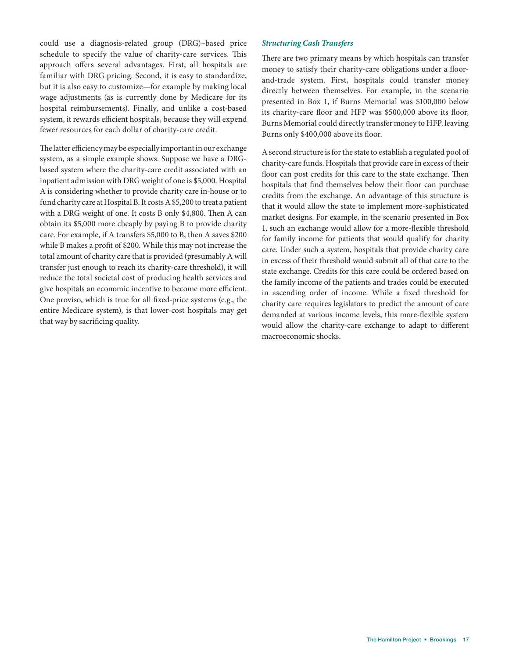could use a diagnosis-related group (DRG)–based price schedule to specify the value of charity-care services. This approach offers several advantages. First, all hospitals are familiar with DRG pricing. Second, it is easy to standardize, but it is also easy to customize—for example by making local wage adjustments (as is currently done by Medicare for its hospital reimbursements). Finally, and unlike a cost-based system, it rewards efficient hospitals, because they will expend fewer resources for each dollar of charity-care credit.

The latter efficiency may be especially important in our exchange system, as a simple example shows. Suppose we have a DRGbased system where the charity-care credit associated with an inpatient admission with DRG weight of one is \$5,000. Hospital A is considering whether to provide charity care in-house or to fund charity care at Hospital B. It costs A \$5,200 to treat a patient with a DRG weight of one. It costs B only \$4,800. Then A can obtain its \$5,000 more cheaply by paying B to provide charity care. For example, if A transfers \$5,000 to B, then A saves \$200 while B makes a profit of \$200. While this may not increase the total amount of charity care that is provided (presumably A will transfer just enough to reach its charity-care threshold), it will reduce the total societal cost of producing health services and give hospitals an economic incentive to become more efficient. One proviso, which is true for all fixed-price systems (e.g., the entire Medicare system), is that lower-cost hospitals may get that way by sacrificing quality.

#### *Structuring Cash Transfers*

There are two primary means by which hospitals can transfer money to satisfy their charity-care obligations under a floorand-trade system. First, hospitals could transfer money directly between themselves. For example, in the scenario presented in Box 1, if Burns Memorial was \$100,000 below its charity-care floor and HFP was \$500,000 above its floor, Burns Memorial could directly transfer money to HFP, leaving Burns only \$400,000 above its floor.

A second structure is for the state to establish a regulated pool of charity-care funds. Hospitals that provide care in excess of their floor can post credits for this care to the state exchange. Then hospitals that find themselves below their floor can purchase credits from the exchange. An advantage of this structure is that it would allow the state to implement more-sophisticated market designs. For example, in the scenario presented in Box 1, such an exchange would allow for a more-flexible threshold for family income for patients that would qualify for charity care. Under such a system, hospitals that provide charity care in excess of their threshold would submit all of that care to the state exchange. Credits for this care could be ordered based on the family income of the patients and trades could be executed in ascending order of income. While a fixed threshold for charity care requires legislators to predict the amount of care demanded at various income levels, this more-flexible system would allow the charity-care exchange to adapt to different macroeconomic shocks.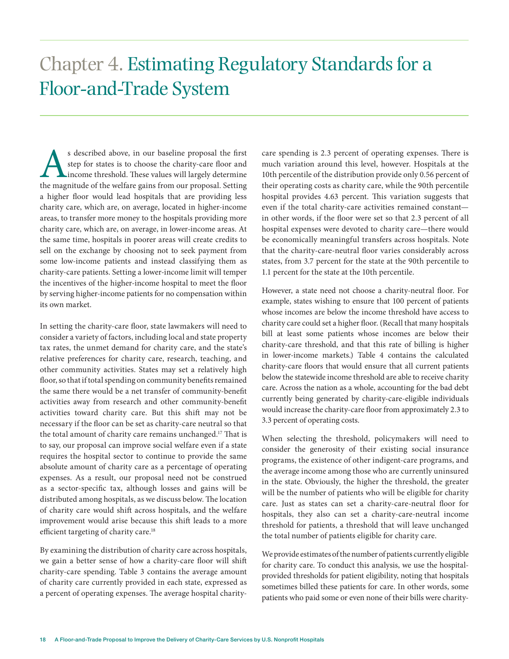## Chapter 4. Estimating Regulatory Standards for a Floor-and-Trade System

s described above, in our baseline proposal the first<br>step for states is to choose the charity-care floor and<br>income threshold. These values will largely determine<br>the magnitude of the welfare gains from our proposal. Sett step for states is to choose the charity-care floor and income threshold. These values will largely determine the magnitude of the welfare gains from our proposal. Setting a higher floor would lead hospitals that are providing less charity care, which are, on average, located in higher-income areas, to transfer more money to the hospitals providing more charity care, which are, on average, in lower-income areas. At the same time, hospitals in poorer areas will create credits to sell on the exchange by choosing not to seek payment from some low-income patients and instead classifying them as charity-care patients. Setting a lower-income limit will temper the incentives of the higher-income hospital to meet the floor by serving higher-income patients for no compensation within its own market.

In setting the charity-care floor, state lawmakers will need to consider a variety of factors, including local and state property tax rates, the unmet demand for charity care, and the state's relative preferences for charity care, research, teaching, and other community activities. States may set a relatively high floor, so that if total spending on community benefits remained the same there would be a net transfer of community-benefit activities away from research and other community-benefit activities toward charity care. But this shift may not be necessary if the floor can be set as charity-care neutral so that the total amount of charity care remains unchanged.17 That is to say, our proposal can improve social welfare even if a state requires the hospital sector to continue to provide the same absolute amount of charity care as a percentage of operating expenses. As a result, our proposal need not be construed as a sector-specific tax, although losses and gains will be distributed among hospitals, as we discuss below. The location of charity care would shift across hospitals, and the welfare improvement would arise because this shift leads to a more efficient targeting of charity care.<sup>18</sup>

By examining the distribution of charity care across hospitals, we gain a better sense of how a charity-care floor will shift charity-care spending. Table 3 contains the average amount of charity care currently provided in each state, expressed as a percent of operating expenses. The average hospital charitycare spending is 2.3 percent of operating expenses. There is much variation around this level, however. Hospitals at the 10th percentile of the distribution provide only 0.56 percent of their operating costs as charity care, while the 90th percentile hospital provides 4.63 percent. This variation suggests that even if the total charity-care activities remained constant in other words, if the floor were set so that 2.3 percent of all hospital expenses were devoted to charity care—there would be economically meaningful transfers across hospitals. Note that the charity-care-neutral floor varies considerably across states, from 3.7 percent for the state at the 90th percentile to 1.1 percent for the state at the 10th percentile.

However, a state need not choose a charity-neutral floor. For example, states wishing to ensure that 100 percent of patients whose incomes are below the income threshold have access to charity care could set a higher floor. (Recall that many hospitals bill at least some patients whose incomes are below their charity-care threshold, and that this rate of billing is higher in lower-income markets.) Table 4 contains the calculated charity-care floors that would ensure that all current patients below the statewide income threshold are able to receive charity care. Across the nation as a whole, accounting for the bad debt currently being generated by charity-care-eligible individuals would increase the charity-care floor from approximately 2.3 to 3.3 percent of operating costs.

When selecting the threshold, policymakers will need to consider the generosity of their existing social insurance programs, the existence of other indigent-care programs, and the average income among those who are currently uninsured in the state. Obviously, the higher the threshold, the greater will be the number of patients who will be eligible for charity care. Just as states can set a charity-care-neutral floor for hospitals, they also can set a charity-care-neutral income threshold for patients, a threshold that will leave unchanged the total number of patients eligible for charity care.

We provide estimates of the number of patients currently eligible for charity care. To conduct this analysis, we use the hospitalprovided thresholds for patient eligibility, noting that hospitals sometimes billed these patients for care. In other words, some patients who paid some or even none of their bills were charity-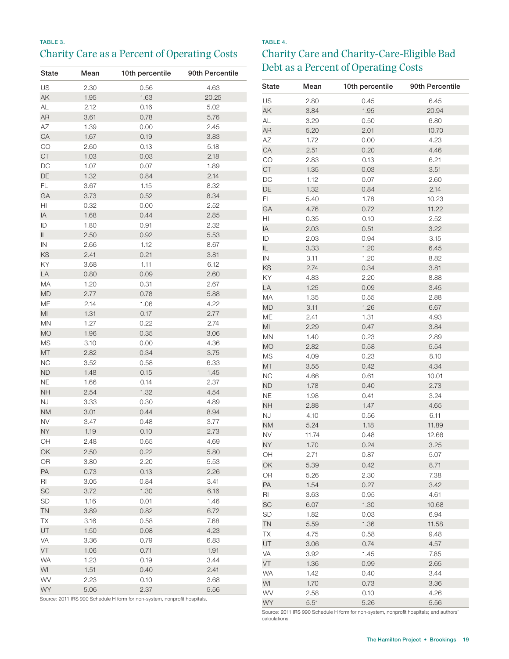## TABLE 3. Charity Care as a Percent of Operating Costs

## TABLE 4. Charity Care and Charity-Care-Eligible Bad Debt as a Percent of Operating Costs

State Mean 10th percentile 90th Percentile

US 2.80 0.45 6.45 AK 3.84 1.95 20.94

| State      | Mean | 10th percentile | 90th Percentile |
|------------|------|-----------------|-----------------|
| US         | 2.30 | 0.56            | 4.63            |
| AK         | 1.95 | 1.63            | 20.25           |
| AL         | 2.12 | 0.16            | 5.02            |
| <b>AR</b>  | 3.61 | 0.78            | 5.76            |
| AΖ         | 1.39 | 0.00            | 2.45            |
| CA         | 1.67 | 0.19            | 3.83            |
| CO         | 2.60 | 0.13            | 5.18            |
| CT         | 1.03 | 0.03            | 2.18            |
| DC         | 1.07 | 0.07            | 1.89            |
| DE         | 1.32 | 0.84            | 2.14            |
| FL.        | 3.67 | 1.15            | 8.32            |
| GA         | 3.73 | 0.52            | 8.34            |
| HI         | 0.32 | 0.00            | 2.52            |
| IA         | 1.68 | 0.44            | 2.85            |
|            |      |                 |                 |
| ID         | 1.80 | 0.91            | 2.32            |
| IL         | 2.50 | 0.92            | 5.53            |
| IN         | 2.66 | 1.12            | 8.67            |
| KS         | 2.41 | 0.21            | 3.81            |
| KY         | 3.68 | 1.11            | 6.12            |
| LA         | 0.80 | 0.09            | 2.60            |
| MA         | 1.20 | 0.31            | 2.67            |
| <b>MD</b>  | 2.77 | 0.78            | 5.88            |
| ME         | 2.14 | 1.06            | 4.22            |
| MI         | 1.31 | 0.17            | 2.77            |
| <b>MN</b>  | 1.27 | 0.22            | 2.74            |
| <b>MO</b>  | 1.96 | 0.35            | 3.06            |
| <b>MS</b>  | 3.10 | 0.00            | 4.36            |
| MT         | 2.82 | 0.34            | 3.75            |
| <b>NC</b>  | 3.52 | 0.58            | 6.33            |
| ${\sf ND}$ | 1.48 | 0.15            | 1.45            |
| <b>NE</b>  | 1.66 | 0.14            | 2.37            |
| <b>NH</b>  | 2.54 | 1.32            | 4.54            |
| <b>NJ</b>  | 3.33 | 0.30            | 4.89            |
| <b>NM</b>  | 3.01 | 0.44            | 8.94            |
| <b>NV</b>  | 3.47 | 0.48            | 3.77            |
| <b>NY</b>  | 1.19 | 0.10            | 2.73            |
| OH         | 2.48 | 0.65            | 4.69            |
| OK         | 2.50 | 0.22            | 5.80            |
| OR         | 3.80 | 2.20            | 5.53            |
| PA         | 0.73 | 0.13            | 2.26            |
| RI         | 3.05 | 0.84            | 3.41            |
| SC         | 3.72 | 1.30            | 6.16            |
| <b>SD</b>  | 1.16 | 0.01            | 1.46            |
| <b>TN</b>  | 3.89 | 0.82            | 6.72            |
| ТX         | 3.16 | 0.58            | 7.68            |
| UT         | 1.50 | 0.08            | 4.23            |
| VA         | 3.36 | 0.79            | 6.83            |
| VT         | 1.06 | 0.71            | 1.91            |
| <b>WA</b>  | 1.23 | 0.19            | 3.44            |
| WI         | 1.51 | 0.40            | 2.41            |
| WV         | 2.23 | 0.10            | 3.68            |
| WY         | 5.06 | 2.37            | 5.56            |
|            |      |                 |                 |

| AL            | 3.29         | 0.50                                                                                   | 6.80  |
|---------------|--------------|----------------------------------------------------------------------------------------|-------|
| AR            | 5.20         | 2.01                                                                                   | 10.70 |
| AZ            | 1.72         | 0.00                                                                                   | 4.23  |
| CA            | 2.51         | 0.20                                                                                   | 4.46  |
| CO            | 2.83         | 0.13                                                                                   | 6.21  |
| CT            | 1.35         | 0.03                                                                                   | 3.51  |
| DC            | 1.12         | 0.07                                                                                   | 2.60  |
| DE            | 1.32         | 0.84                                                                                   | 2.14  |
| FL            | 5.40         | 1.78                                                                                   | 10.23 |
| GA            | 4.76         | 0.72                                                                                   | 11.22 |
| HI            | 0.35         | 0.10                                                                                   | 2.52  |
| IA            | 2.03         | 0.51                                                                                   | 3.22  |
| ID            | 2.03         | 0.94                                                                                   | 3.15  |
| IL            | 3.33         | 1.20                                                                                   | 6.45  |
| IN            | 3.11         | 1.20                                                                                   | 8.82  |
| KS            | 2.74         | 0.34                                                                                   | 3.81  |
| KY            | 4.83         | 2.20                                                                                   | 8.88  |
| LA            | 1.25         | 0.09                                                                                   | 3.45  |
| <b>MA</b>     | 1.35         | 0.55                                                                                   | 2.88  |
| <b>MD</b>     |              | 1.26                                                                                   | 6.67  |
| ME            | 3.11<br>2.41 | 1.31                                                                                   | 4.93  |
|               |              |                                                                                        |       |
| MI            | 2.29         | 0.47                                                                                   | 3.84  |
| MN            | 1.40         | 0.23                                                                                   | 2.89  |
| <b>MO</b>     | 2.82         | 0.58                                                                                   | 5.54  |
| ΜS            | 4.09         | 0.23                                                                                   | 8.10  |
| MT            | 3.55         | 0.42                                                                                   | 4.34  |
| NC            | 4.66         | 0.61                                                                                   | 10.01 |
| <b>ND</b>     | 1.78         | 0.40                                                                                   | 2.73  |
| NE            | 1.98         | 0.41                                                                                   | 3.24  |
| <b>NH</b>     | 2.88         | 1.47                                                                                   | 4.65  |
| <b>NJ</b>     | 4.10         | 0.56                                                                                   | 6.11  |
| <b>NM</b>     | 5.24         | 1.18                                                                                   | 11.89 |
| <b>NV</b>     | 11.74        | 0.48                                                                                   | 12.66 |
| <b>NY</b>     | 1.70         | 0.24                                                                                   | 3.25  |
| OН            | 2.71         | 0.87                                                                                   | 5.07  |
| OK            | 5.39         | 0.42                                                                                   | 8.71  |
| OR            | 5.26         | 2.30                                                                                   | 7.38  |
| PA            | 1.54         | 0.27                                                                                   | 3.42  |
| RI            | 3.63         | 0.95                                                                                   | 4.61  |
| <b>SC</b>     | 6.07         | 1.30                                                                                   | 10.68 |
| <b>SD</b>     | 1.82         | 0.03                                                                                   | 6.94  |
| <b>TN</b>     | 5.59         | 1.36                                                                                   | 11.58 |
| ТX            | 4.75         | 0.58                                                                                   | 9.48  |
| UT            | 3.06         | 0.74                                                                                   | 4.57  |
| VA            | 3.92         | 1.45                                                                                   | 7.85  |
| VT            | 1.36         | 0.99                                                                                   | 2.65  |
| WA            | 1.42         | 0.40                                                                                   | 3.44  |
| WI            | 1.70         | 0.73                                                                                   |       |
|               |              |                                                                                        | 3.36  |
| <b>WV</b>     | 2.58         | 0.10                                                                                   | 4.26  |
| <b>WY</b>     | 5.51         | 5.26                                                                                   | 5.56  |
| calculations. |              | Source: 2011 IRS 990 Schedule H form for non-system, nonprofit hospitals; and authors' |       |

Source: 2011 IRS 990 Schedule H form for non-system, nonprofit hospitals.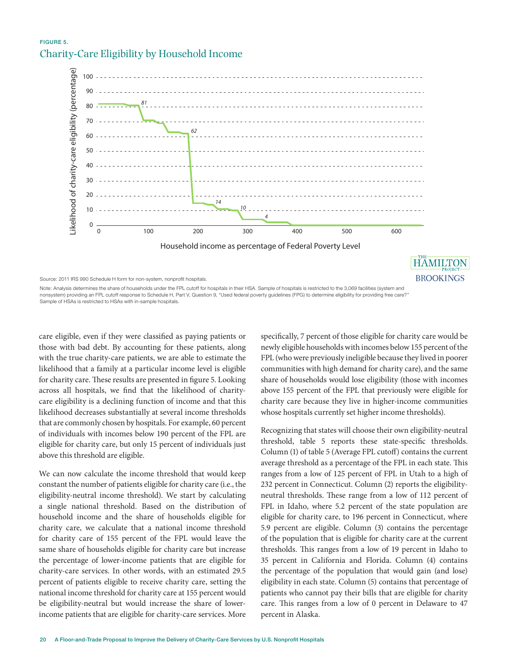#### FIGURE 5.





Source: 2011 IRS 990 Schedule H form for non-system, nonprofit hospitals.

Note: Analysis determines the share of households under the FPL cutoff for hospitals in their HSA. Sample of hospitals is restricted to the 3,069 facilities (system and nonsystem) providing an FPL cutoff response to Schedule H, Part V, Question 9, "Used federal poverty guidelines (FPG) to determine eligibility for providing free care?"<br>Sample of HSAs is restricted to HSAs with in-sample h

care eligible, even if they were classified as paying patients or those with bad debt. By accounting for these patients, along with the true charity-care patients, we are able to estimate the likelihood that a family at a particular income level is eligible for charity care. These results are presented in figure 5. Looking across all hospitals, we find that the likelihood of charitycare eligibility is a declining function of income and that this likelihood decreases substantially at several income thresholds that are commonly chosen by hospitals. For example, 60 percent of individuals with incomes below 190 percent of the FPL are eligible for charity care, but only 15 percent of individuals just above this threshold are eligible.

We can now calculate the income threshold that would keep constant the number of patients eligible for charity care (i.e., the eligibility-neutral income threshold). We start by calculating a single national threshold. Based on the distribution of household income and the share of households eligible for charity care, we calculate that a national income threshold for charity care of 155 percent of the FPL would leave the same share of households eligible for charity care but increase the percentage of lower-income patients that are eligible for charity-care services. In other words, with an estimated 29.5 percent of patients eligible to receive charity care, setting the national income threshold for charity care at 155 percent would be eligibility-neutral but would increase the share of lowerincome patients that are eligible for charity-care services. More

specifically, 7 percent of those eligible for charity care would be newly eligible households with incomes below 155 percent of the FPL (who were previously ineligible because they lived in poorer communities with high demand for charity care), and the same share of households would lose eligibility (those with incomes above 155 percent of the FPL that previously were eligible for charity care because they live in higher-income communities whose hospitals currently set higher income thresholds).

**BROOKINGS** 

Recognizing that states will choose their own eligibility-neutral threshold, table 5 reports these state-specific thresholds. Column (1) of table 5 (Average FPL cutoff) contains the current average threshold as a percentage of the FPL in each state. This ranges from a low of 125 percent of FPL in Utah to a high of 232 percent in Connecticut. Column (2) reports the eligibilityneutral thresholds. These range from a low of 112 percent of FPL in Idaho, where 5.2 percent of the state population are eligible for charity care, to 196 percent in Connecticut, where 5.9 percent are eligible. Column (3) contains the percentage of the population that is eligible for charity care at the current thresholds. This ranges from a low of 19 percent in Idaho to 35 percent in California and Florida. Column (4) contains the percentage of the population that would gain (and lose) eligibility in each state. Column (5) contains that percentage of patients who cannot pay their bills that are eligible for charity care. This ranges from a low of 0 percent in Delaware to 47 percent in Alaska.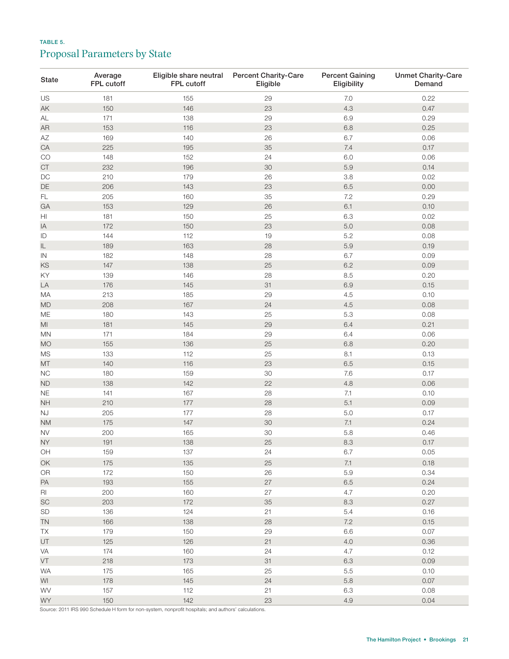## TABLE 5. Proposal Parameters by State

| <b>State</b>                | Average<br>FPL cutoff | Eligible share neutral<br>FPL cutoff | <b>Percent Charity-Care</b><br>Eligible | <b>Percent Gaining</b><br>Eligibility | <b>Unmet Charity-Care</b><br>Demand |
|-----------------------------|-----------------------|--------------------------------------|-----------------------------------------|---------------------------------------|-------------------------------------|
| US                          | 181                   | 155                                  | 29                                      | 7.0                                   | 0.22                                |
| $\mathsf{AK}$               | 150                   | 146                                  | 23                                      | 4.3                                   | 0.47                                |
| AL                          | 171                   | 138                                  | 29                                      | 6.9                                   | 0.29                                |
| ${\sf AR}$                  | 153                   | 116                                  | 23                                      | 6.8                                   | 0.25                                |
| $\mathsf{A}\mathsf{Z}$      | 169                   | 140                                  | 26                                      | 6.7                                   | 0.06                                |
| ${\sf CA}$                  | 225                   | 195                                  | 35                                      | $7.4\,$                               | 0.17                                |
| CO                          | 148                   | 152                                  | 24                                      | $6.0\,$                               | 0.06                                |
| CT                          | 232                   | 196                                  | $30\,$                                  | 5.9                                   | 0.14                                |
| $\mathsf{DC}$               | 210                   | 179                                  | 26                                      | $3.8\,$                               | 0.02                                |
| DE                          | 206                   | 143                                  | 23                                      | 6.5                                   | 0.00                                |
| $\mathsf{FL}$               | 205                   | 160                                  | $35\,$                                  | $7.2\,$                               | 0.29                                |
| GA                          | 153                   | 129                                  | 26                                      | 6.1                                   | 0.10                                |
| $\mathsf{H}\mathsf{I}$      | 181                   | 150                                  | 25                                      | 6.3                                   | 0.02                                |
| $\sf IA$                    | 172                   | 150                                  | 23                                      | 5.0                                   | 0.08                                |
| $\mathsf{ID}$               | 144                   | 112                                  | $19$                                    | 5.2                                   | 0.08                                |
| $\mathsf{IL}$               | 189                   | 163                                  | 28                                      | 5.9                                   | 0.19                                |
| ${\sf IN}$                  | 182                   | 148                                  | 28                                      | 6.7                                   | 0.09                                |
| KS                          | 147                   | 138                                  | 25                                      | 6.2                                   | 0.09                                |
| KY                          | 139                   | 146                                  | 28                                      | $8.5\,$                               | 0.20                                |
| LA                          | 176                   | 145                                  | 31                                      | 6.9                                   | 0.15                                |
| MA                          | 213                   | 185                                  | 29                                      | 4.5                                   | 0.10                                |
| MD                          | 208                   | 167                                  | 24                                      | 4.5                                   | 0.08                                |
| ME                          | 180                   | 143                                  | 25                                      | 5.3                                   | 0.08                                |
| $\mathsf{M}\mathsf{l}$      | 181                   | 145                                  | 29                                      | $6.4\,$                               | 0.21                                |
| $\mathsf{MN}$               | 171                   | 184                                  | 29                                      | 6.4                                   | 0.06                                |
| <b>MO</b>                   | 155                   | 136                                  | 25                                      | 6.8                                   | 0.20                                |
| $\rm MS$                    | 133                   | 112                                  | 25                                      | 8.1                                   | 0.13                                |
| MT                          | 140                   | 116                                  | 23                                      | 6.5                                   | 0.15                                |
| $\rm NC$                    | 180                   | 159                                  | 30                                      | $7.6\,$                               | 0.17                                |
| ${\sf ND}$                  | 138                   | 142                                  | 22                                      | $4.8\,$                               | 0.06                                |
| $\mathsf{NE}\xspace$        | 141                   | 167                                  | 28                                      | 7.1                                   | 0.10                                |
| $\mathsf{NH}\,$             | 210                   | $177$                                | 28                                      | 5.1                                   | 0.09                                |
| NJ                          | 205                   | 177                                  | 28                                      | $5.0\,$                               | 0.17                                |
| <b>NM</b>                   | 175                   | 147                                  | 30                                      | 7.1                                   | 0.24                                |
| ${\sf NV}$                  | 200                   | 165                                  | 30                                      | 5.8                                   | 0.46                                |
| ${\sf NY}$                  | 191                   | 138                                  | $25\,$                                  | $8.3\,$                               | 0.17                                |
| OH                          | 159                   | 137                                  | 24                                      | $6.7\,$                               | 0.05                                |
| OK                          | 175                   | 135                                  | 25                                      | $7.1$                                 | 0.18                                |
|                             | 172                   | 150                                  | 26                                      | 5.9                                   | 0.34                                |
| OR                          | 193                   | 155                                  | 27                                      | 6.5                                   | 0.24                                |
| ${\sf PA}$<br>$\mathsf{RI}$ | 200                   | 160                                  | 27                                      | 4.7                                   | 0.20                                |
| $\protect\operatorname{SC}$ | 203                   | 172                                  | 35                                      | $8.3\,$                               | 0.27                                |
|                             |                       | 124                                  |                                         |                                       | 0.16                                |
| $\mathsf{SD}$               | 136                   |                                      | 21                                      | 5.4                                   |                                     |
| TN                          | 166                   | 138                                  | $28\,$                                  | $7.2\,$                               | 0.15                                |
| TX                          | 179                   | 150                                  | 29                                      | $6.6\,$                               | 0.07                                |
| UT                          | 125                   | 126                                  | 21                                      | $4.0\,$                               | 0.36                                |
| VA                          | 174                   | 160                                  | 24                                      | 4.7                                   | 0.12                                |
| VT                          | 218                   | 173                                  | 31                                      | $6.3\,$                               | 0.09                                |
| <b>WA</b>                   | 175                   | 165                                  | 25                                      | $5.5\,$                               | 0.10                                |
| WI                          | 178                   | 145                                  | 24                                      | 5.8                                   | 0.07                                |
| <b>WV</b>                   | 157                   | 112                                  | 21                                      | $6.3\,$                               | 0.08                                |
| <b>WY</b>                   | 150                   | 142                                  | 23                                      | 4.9                                   | 0.04                                |

Source: 2011 IRS 990 Schedule H form for non-system, nonprofit hospitals; and authors' calculations.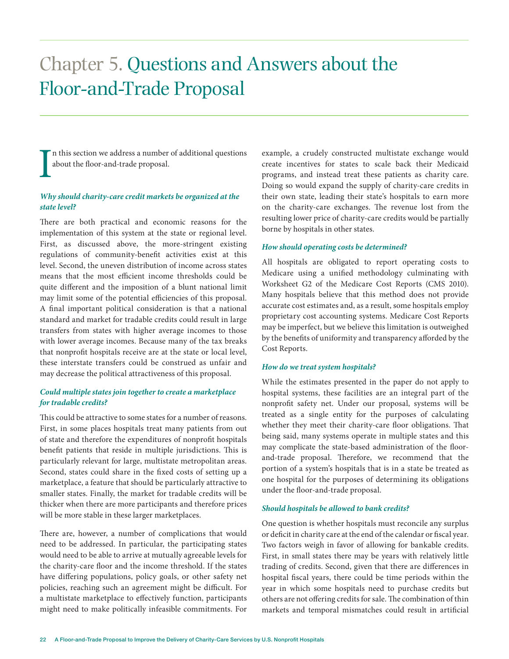# Chapter 5. Questions and Answers about the Floor-and-Trade Proposal

I n this section we address a number of additional questions about the floor-and-trade proposal.

### *Why should charity-care credit markets be organized at the state level?*

There are both practical and economic reasons for the implementation of this system at the state or regional level. First, as discussed above, the more-stringent existing regulations of community-benefit activities exist at this level. Second, the uneven distribution of income across states means that the most efficient income thresholds could be quite different and the imposition of a blunt national limit may limit some of the potential efficiencies of this proposal. A final important political consideration is that a national standard and market for tradable credits could result in large transfers from states with higher average incomes to those with lower average incomes. Because many of the tax breaks that nonprofit hospitals receive are at the state or local level, these interstate transfers could be construed as unfair and may decrease the political attractiveness of this proposal.

### *Could multiple states join together to create a marketplace for tradable credits?*

This could be attractive to some states for a number of reasons. First, in some places hospitals treat many patients from out of state and therefore the expenditures of nonprofit hospitals benefit patients that reside in multiple jurisdictions. This is particularly relevant for large, multistate metropolitan areas. Second, states could share in the fixed costs of setting up a marketplace, a feature that should be particularly attractive to smaller states. Finally, the market for tradable credits will be thicker when there are more participants and therefore prices will be more stable in these larger marketplaces.

There are, however, a number of complications that would need to be addressed. In particular, the participating states would need to be able to arrive at mutually agreeable levels for the charity-care floor and the income threshold. If the states have differing populations, policy goals, or other safety net policies, reaching such an agreement might be difficult. For a multistate marketplace to effectively function, participants might need to make politically infeasible commitments. For

example, a crudely constructed multistate exchange would create incentives for states to scale back their Medicaid programs, and instead treat these patients as charity care. Doing so would expand the supply of charity-care credits in their own state, leading their state's hospitals to earn more on the charity-care exchanges. The revenue lost from the resulting lower price of charity-care credits would be partially borne by hospitals in other states.

#### *How should operating costs be determined?*

All hospitals are obligated to report operating costs to Medicare using a unified methodology culminating with Worksheet G2 of the Medicare Cost Reports (CMS 2010). Many hospitals believe that this method does not provide accurate cost estimates and, as a result, some hospitals employ proprietary cost accounting systems. Medicare Cost Reports may be imperfect, but we believe this limitation is outweighed by the benefits of uniformity and transparency afforded by the Cost Reports.

#### *How do we treat system hospitals?*

While the estimates presented in the paper do not apply to hospital systems, these facilities are an integral part of the nonprofit safety net. Under our proposal, systems will be treated as a single entity for the purposes of calculating whether they meet their charity-care floor obligations. That being said, many systems operate in multiple states and this may complicate the state-based administration of the floorand-trade proposal. Therefore, we recommend that the portion of a system's hospitals that is in a state be treated as one hospital for the purposes of determining its obligations under the floor-and-trade proposal.

#### *Should hospitals be allowed to bank credits?*

One question is whether hospitals must reconcile any surplus or deficit in charity care at the end of the calendar or fiscal year. Two factors weigh in favor of allowing for bankable credits. First, in small states there may be years with relatively little trading of credits. Second, given that there are differences in hospital fiscal years, there could be time periods within the year in which some hospitals need to purchase credits but others are not offering credits for sale. The combination of thin markets and temporal mismatches could result in artificial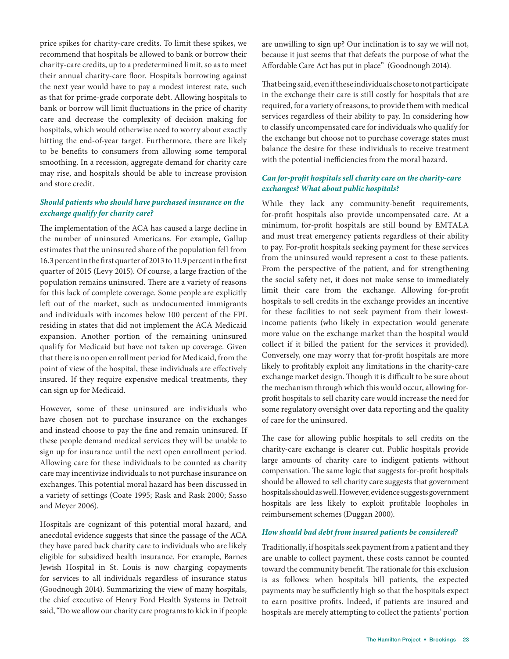price spikes for charity-care credits. To limit these spikes, we recommend that hospitals be allowed to bank or borrow their charity-care credits, up to a predetermined limit, so as to meet their annual charity-care floor. Hospitals borrowing against the next year would have to pay a modest interest rate, such as that for prime-grade corporate debt. Allowing hospitals to bank or borrow will limit fluctuations in the price of charity care and decrease the complexity of decision making for hospitals, which would otherwise need to worry about exactly hitting the end-of-year target. Furthermore, there are likely to be benefits to consumers from allowing some temporal smoothing. In a recession, aggregate demand for charity care may rise, and hospitals should be able to increase provision and store credit.

### *Should patients who should have purchased insurance on the exchange qualify for charity care?*

The implementation of the ACA has caused a large decline in the number of uninsured Americans. For example, Gallup estimates that the uninsured share of the population fell from 16.3 percent in the first quarter of 2013 to 11.9 percent in the first quarter of 2015 (Levy 2015). Of course, a large fraction of the population remains uninsured. There are a variety of reasons for this lack of complete coverage. Some people are explicitly left out of the market, such as undocumented immigrants and individuals with incomes below 100 percent of the FPL residing in states that did not implement the ACA Medicaid expansion. Another portion of the remaining uninsured qualify for Medicaid but have not taken up coverage. Given that there is no open enrollment period for Medicaid, from the point of view of the hospital, these individuals are effectively insured. If they require expensive medical treatments, they can sign up for Medicaid.

However, some of these uninsured are individuals who have chosen not to purchase insurance on the exchanges and instead choose to pay the fine and remain uninsured. If these people demand medical services they will be unable to sign up for insurance until the next open enrollment period. Allowing care for these individuals to be counted as charity care may incentivize individuals to not purchase insurance on exchanges. This potential moral hazard has been discussed in a variety of settings (Coate 1995; Rask and Rask 2000; Sasso and Meyer 2006).

Hospitals are cognizant of this potential moral hazard, and anecdotal evidence suggests that since the passage of the ACA they have pared back charity care to individuals who are likely eligible for subsidized health insurance. For example, Barnes Jewish Hospital in St. Louis is now charging copayments for services to all individuals regardless of insurance status (Goodnough 2014). Summarizing the view of many hospitals, the chief executive of Henry Ford Health Systems in Detroit said, "Do we allow our charity care programs to kick in if people

are unwilling to sign up? Our inclination is to say we will not, because it just seems that that defeats the purpose of what the Affordable Care Act has put in place" (Goodnough 2014).

That being said, even if these individuals chose to not participate in the exchange their care is still costly for hospitals that are required, for a variety of reasons, to provide them with medical services regardless of their ability to pay. In considering how to classify uncompensated care for individuals who qualify for the exchange but choose not to purchase coverage states must balance the desire for these individuals to receive treatment with the potential inefficiencies from the moral hazard.

### *Can for-profit hospitals sell charity care on the charity-care exchanges? What about public hospitals?*

While they lack any community-benefit requirements, for-profit hospitals also provide uncompensated care. At a minimum, for-profit hospitals are still bound by EMTALA and must treat emergency patients regardless of their ability to pay. For-profit hospitals seeking payment for these services from the uninsured would represent a cost to these patients. From the perspective of the patient, and for strengthening the social safety net, it does not make sense to immediately limit their care from the exchange. Allowing for-profit hospitals to sell credits in the exchange provides an incentive for these facilities to not seek payment from their lowestincome patients (who likely in expectation would generate more value on the exchange market than the hospital would collect if it billed the patient for the services it provided). Conversely, one may worry that for-profit hospitals are more likely to profitably exploit any limitations in the charity-care exchange market design. Though it is difficult to be sure about the mechanism through which this would occur, allowing forprofit hospitals to sell charity care would increase the need for some regulatory oversight over data reporting and the quality of care for the uninsured.

The case for allowing public hospitals to sell credits on the charity-care exchange is clearer cut. Public hospitals provide large amounts of charity care to indigent patients without compensation. The same logic that suggests for-profit hospitals should be allowed to sell charity care suggests that government hospitals should as well. However, evidence suggests government hospitals are less likely to exploit profitable loopholes in reimbursement schemes (Duggan 2000).

#### *How should bad debt from insured patients be considered?*

Traditionally, if hospitals seek payment from a patient and they are unable to collect payment, these costs cannot be counted toward the community benefit. The rationale for this exclusion is as follows: when hospitals bill patients, the expected payments may be sufficiently high so that the hospitals expect to earn positive profits. Indeed, if patients are insured and hospitals are merely attempting to collect the patients' portion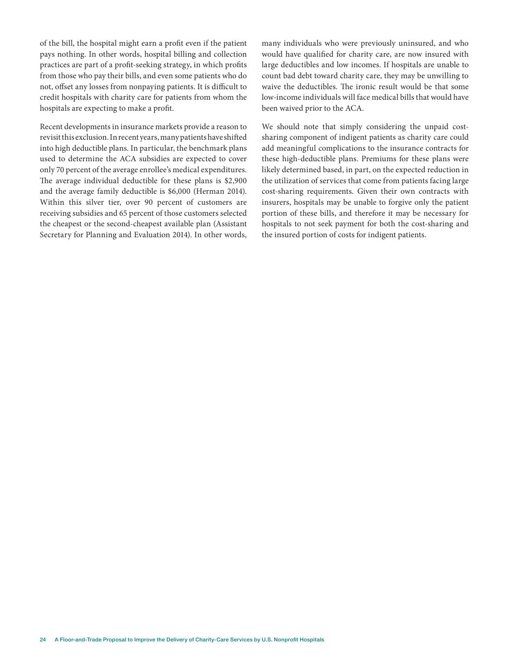of the bill, the hospital might earn a profit even if the patient pays nothing. In other words, hospital billing and collection practices are part of a profit-seeking strategy, in which profits from those who pay their bills, and even some patients who do not, offset any losses from nonpaying patients. It is difficult to credit hospitals with charity care for patients from whom the hospitals are expecting to make a profit.

Recent developments in insurance markets provide a reason to revisit this exclusion. In recent years, many patients have shifted into high deductible plans. In particular, the benchmark plans used to determine the ACA subsidies are expected to cover only 70 percent of the average enrollee's medical expenditures. The average individual deductible for these plans is \$2,900 and the average family deductible is \$6,000 (Herman 2014). Within this silver tier, over 90 percent of customers are receiving subsidies and 65 percent of those customers selected the cheapest or the second-cheapest available plan (Assistant Secretary for Planning and Evaluation 2014). In other words,

many individuals who were previously uninsured, and who would have qualified for charity care, are now insured with large deductibles and low incomes. If hospitals are unable to count bad debt toward charity care, they may be unwilling to waive the deductibles. The ironic result would be that some low-income individuals will face medical bills that would have been waived prior to the ACA.

We should note that simply considering the unpaid costsharing component of indigent patients as charity care could add meaningful complications to the insurance contracts for these high-deductible plans. Premiums for these plans were likely determined based, in part, on the expected reduction in the utilization of services that come from patients facing large cost-sharing requirements. Given their own contracts with insurers, hospitals may be unable to forgive only the patient portion of these bills, and therefore it may be necessary for hospitals to not seek payment for both the cost-sharing and the insured portion of costs for indigent patients.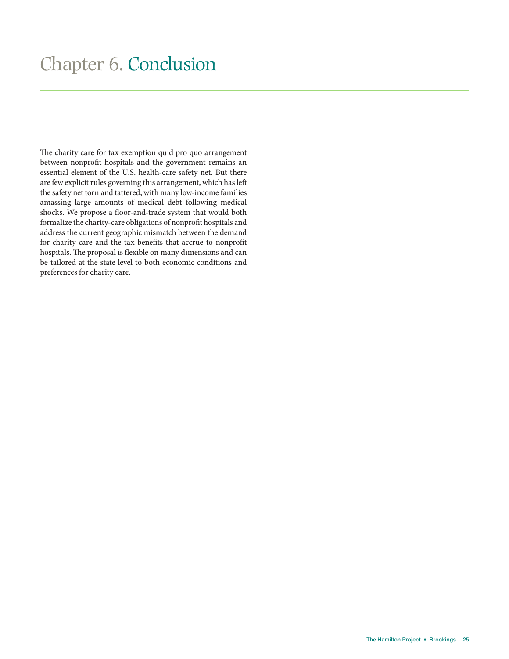## Chapter 6. Conclusion

The charity care for tax exemption quid pro quo arrangement between nonprofit hospitals and the government remains an essential element of the U.S. health-care safety net. But there are few explicit rules governing this arrangement, which has left the safety net torn and tattered, with many low-income families amassing large amounts of medical debt following medical shocks. We propose a floor-and-trade system that would both formalize the charity-care obligations of nonprofit hospitals and address the current geographic mismatch between the demand for charity care and the tax benefits that accrue to nonprofit hospitals. The proposal is flexible on many dimensions and can be tailored at the state level to both economic conditions and preferences for charity care.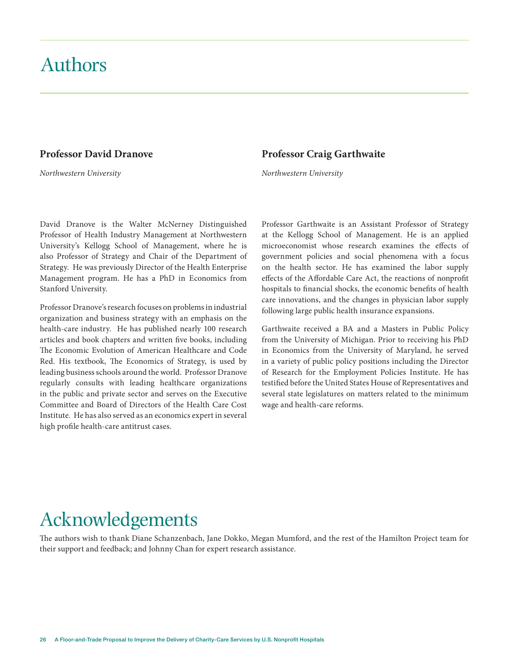## Authors

### **Professor David Dranove**

*Northwestern University*

David Dranove is the Walter McNerney Distinguished Professor of Health Industry Management at Northwestern University's Kellogg School of Management, where he is also Professor of Strategy and Chair of the Department of Strategy. He was previously Director of the Health Enterprise Management program. He has a PhD in Economics from Stanford University.

Professor Dranove's research focuses on problems in industrial organization and business strategy with an emphasis on the health-care industry. He has published nearly 100 research articles and book chapters and written five books, including The Economic Evolution of American Healthcare and Code Red. His textbook, The Economics of Strategy, is used by leading business schools around the world. Professor Dranove regularly consults with leading healthcare organizations in the public and private sector and serves on the Executive Committee and Board of Directors of the Health Care Cost Institute. He has also served as an economics expert in several high profile health-care antitrust cases.

### **Professor Craig Garthwaite**

*Northwestern University*

Professor Garthwaite is an Assistant Professor of Strategy at the Kellogg School of Management. He is an applied microeconomist whose research examines the effects of government policies and social phenomena with a focus on the health sector. He has examined the labor supply effects of the Affordable Care Act, the reactions of nonprofit hospitals to financial shocks, the economic benefits of health care innovations, and the changes in physician labor supply following large public health insurance expansions.

Garthwaite received a BA and a Masters in Public Policy from the University of Michigan. Prior to receiving his PhD in Economics from the University of Maryland, he served in a variety of public policy positions including the Director of Research for the Employment Policies Institute. He has testified before the United States House of Representatives and several state legislatures on matters related to the minimum wage and health-care reforms.

## Acknowledgements

The authors wish to thank Diane Schanzenbach, Jane Dokko, Megan Mumford, and the rest of the Hamilton Project team for their support and feedback; and Johnny Chan for expert research assistance.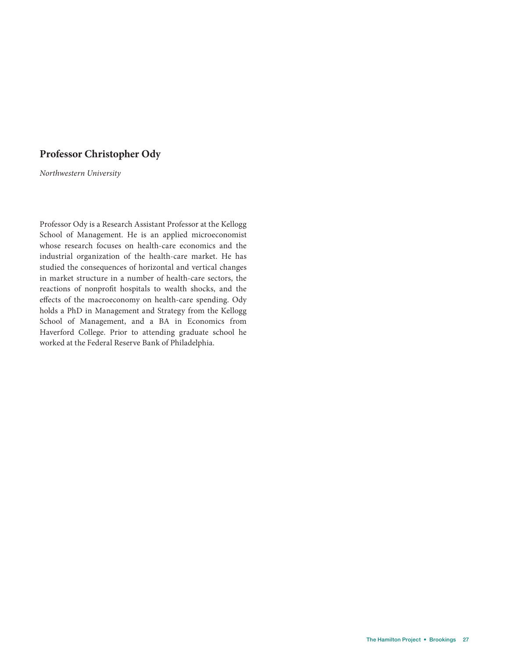## **Professor Christopher Ody**

*Northwestern University*

Professor Ody is a Research Assistant Professor at the Kellogg School of Management. He is an applied microeconomist whose research focuses on health-care economics and the industrial organization of the health-care market. He has studied the consequences of horizontal and vertical changes in market structure in a number of health-care sectors, the reactions of nonprofit hospitals to wealth shocks, and the effects of the macroeconomy on health-care spending. Ody holds a PhD in Management and Strategy from the Kellogg School of Management, and a BA in Economics from Haverford College. Prior to attending graduate school he worked at the Federal Reserve Bank of Philadelphia.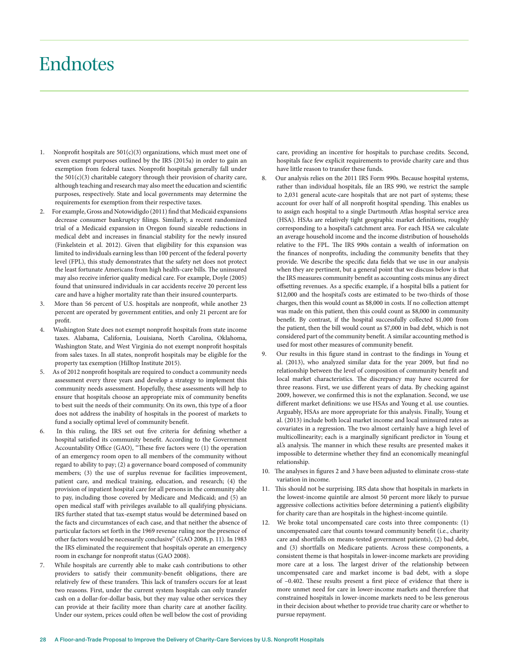## Endnotes

- 1. Nonprofit hospitals are  $501(c)(3)$  organizations, which must meet one of seven exempt purposes outlined by the IRS (2015a) in order to gain an exemption from federal taxes. Nonprofit hospitals generally fall under the 501(c)(3) charitable category through their provision of charity care, although teaching and research may also meet the education and scientific purposes, respectively. State and local governments may determine the requirements for exemption from their respective taxes.
- 2. For example, Gross and Notowidigdo (2011) find that Medicaid expansions decrease consumer bankruptcy filings. Similarly, a recent randomized trial of a Medicaid expansion in Oregon found sizeable reductions in medical debt and increases in financial stability for the newly insured (Finkelstein et al. 2012). Given that eligibility for this expansion was limited to individuals earning less than 100 percent of the federal poverty level (FPL), this study demonstrates that the safety net does not protect the least fortunate Americans from high health-care bills. The uninsured may also receive inferior quality medical care. For example, Doyle (2005) found that uninsured individuals in car accidents receive 20 percent less care and have a higher mortality rate than their insured counterparts.
- 3. More than 56 percent of U.S. hospitals are nonprofit, while another 23 percent are operated by government entities, and only 21 percent are for profit.
- 4. Washington State does not exempt nonprofit hospitals from state income taxes. Alabama, California, Louisiana, North Carolina, Oklahoma, Washington State, and West Virginia do not exempt nonprofit hospitals from sales taxes. In all states, nonprofit hospitals may be eligible for the property tax exemption (Hilltop Institute 2015).
- 5. As of 2012 nonprofit hospitals are required to conduct a community needs assessment every three years and develop a strategy to implement this community needs assessment. Hopefully, these assessments will help to ensure that hospitals choose an appropriate mix of community benefits to best suit the needs of their community. On its own, this type of a floor does not address the inability of hospitals in the poorest of markets to fund a socially optimal level of community benefit.
- 6. In this ruling, the IRS set out five criteria for defining whether a hospital satisfied its community benefit. According to the Government Accountability Office (GAO), "These five factors were (1) the operation of an emergency room open to all members of the community without regard to ability to pay; (2) a governance board composed of community members; (3) the use of surplus revenue for facilities improvement, patient care, and medical training, education, and research; (4) the provision of inpatient hospital care for all persons in the community able to pay, including those covered by Medicare and Medicaid; and (5) an open medical staff with privileges available to all qualifying physicians. IRS further stated that tax-exempt status would be determined based on the facts and circumstances of each case, and that neither the absence of particular factors set forth in the 1969 revenue ruling nor the presence of other factors would be necessarily conclusive" (GAO 2008, p. 11). In 1983 the IRS eliminated the requirement that hospitals operate an emergency room in exchange for nonprofit status (GAO 2008).
- 7. While hospitals are currently able to make cash contributions to other providers to satisfy their community-benefit obligations, there are relatively few of these transfers. This lack of transfers occurs for at least two reasons. First, under the current system hospitals can only transfer cash on a dollar-for-dollar basis, but they may value other services they can provide at their facility more than charity care at another facility. Under our system, prices could often be well below the cost of providing

care, providing an incentive for hospitals to purchase credits. Second, hospitals face few explicit requirements to provide charity care and thus have little reason to transfer these funds.

- 8. Our analysis relies on the 2011 IRS Form 990s. Because hospital systems, rather than individual hospitals, file an IRS 990, we restrict the sample to 2,031 general acute-care hospitals that are not part of systems; these account for over half of all nonprofit hospital spending. This enables us to assign each hospital to a single Dartmouth Atlas hospital service area (HSA). HSAs are relatively tight geographic market definitions, roughly corresponding to a hospital's catchment area. For each HSA we calculate an average household income and the income distribution of households relative to the FPL. The IRS 990s contain a wealth of information on the finances of nonprofits, including the community benefits that they provide. We describe the specific data fields that we use in our analysis when they are pertinent, but a general point that we discuss below is that the IRS measures community benefit as accounting costs minus any direct offsetting revenues. As a specific example, if a hospital bills a patient for \$12,000 and the hospital's costs are estimated to be two-thirds of those charges, then this would count as \$8,000 in costs. If no collection attempt was made on this patient, then this could count as \$8,000 in community benefit. By contrast, if the hospital successfully collected \$1,000 from the patient, then the bill would count as \$7,000 in bad debt, which is not considered part of the community benefit. A similar accounting method is used for most other measures of community benefit.
- 9. Our results in this figure stand in contrast to the findings in Young et al. (2013), who analyzed similar data for the year 2009, but find no relationship between the level of composition of community benefit and local market characteristics. The discrepancy may have occurred for three reasons. First, we use different years of data. By checking against 2009, however, we confirmed this is not the explanation. Second, we use different market definitions: we use HSAs and Young et al. use counties. Arguably, HSAs are more appropriate for this analysis. Finally, Young et al. (2013) include both local market income and local uninsured rates as covariates in a regression. The two almost certainly have a high level of multicollinearity; each is a marginally significant predictor in Young et al.'s analysis. The manner in which these results are presented makes it impossible to determine whether they find an economically meaningful relationship.
- 10. The analyses in figures 2 and 3 have been adjusted to eliminate cross-state variation in income.
- 11. This should not be surprising. IRS data show that hospitals in markets in the lowest-income quintile are almost 50 percent more likely to pursue aggressive collections activities before determining a patient's eligibility for charity care than are hospitals in the highest-income quintile.
- We broke total uncompensated care costs into three components: (1) uncompensated care that counts toward community benefit (i.e., charity care and shortfalls on means-tested government patients), (2) bad debt, and (3) shortfalls on Medicare patients. Across these components, a consistent theme is that hospitals in lower-income markets are providing more care at a loss. The largest driver of the relationship between uncompensated care and market income is bad debt, with a slope of –0.402. These results present a first piece of evidence that there is more unmet need for care in lower-income markets and therefore that constrained hospitals in lower-income markets need to be less generous in their decision about whether to provide true charity care or whether to pursue repayment.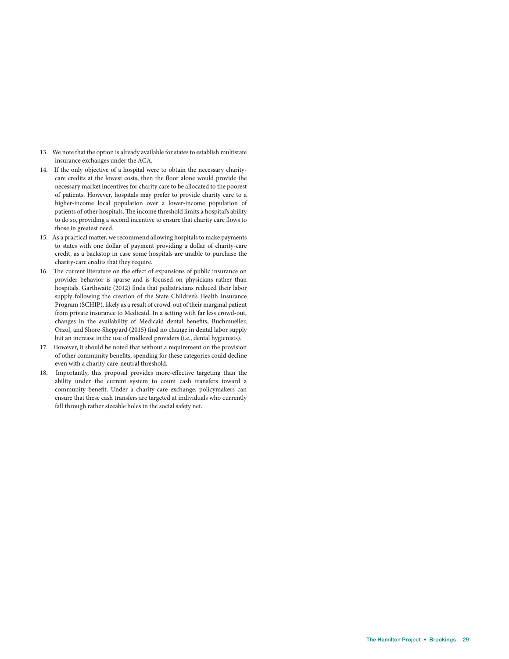- 13. We note that the option is already available for states to establish multistate insurance exchanges under the ACA.
- 14. If the only objective of a hospital were to obtain the necessary charitycare credits at the lowest costs, then the floor alone would provide the necessary market incentives for charity care to be allocated to the poorest of patients. However, hospitals may prefer to provide charity care to a higher-income local population over a lower-income population of patients of other hospitals. The income threshold limits a hospital's ability to do so, providing a second incentive to ensure that charity care flows to those in greatest need.
- 15. As a practical matter, we recommend allowing hospitals to make payments to states with one dollar of payment providing a dollar of charity-care credit, as a backstop in case some hospitals are unable to purchase the charity-care credits that they require.
- 16. The current literature on the effect of expansions of public insurance on provider behavior is sparse and is focused on physicians rather than hospitals. Garthwaite (2012) finds that pediatricians reduced their labor supply following the creation of the State Children's Health Insurance Program (SCHIP), likely as a result of crowd-out of their marginal patient from private insurance to Medicaid. In a setting with far less crowd-out, changes in the availability of Medicaid dental benefits, Buchmueller, Orzol, and Shore-Sheppard (2015) find no change in dental labor supply but an increase in the use of midlevel providers (i.e., dental hygienists).
- 17. However, it should be noted that without a requirement on the provision of other community benefits, spending for these categories could decline even with a charity-care-neutral threshold.
- 18. Importantly, this proposal provides more-effective targeting than the ability under the current system to count cash transfers toward a community benefit. Under a charity-care exchange, policymakers can ensure that these cash transfers are targeted at individuals who currently fall through rather sizeable holes in the social safety net.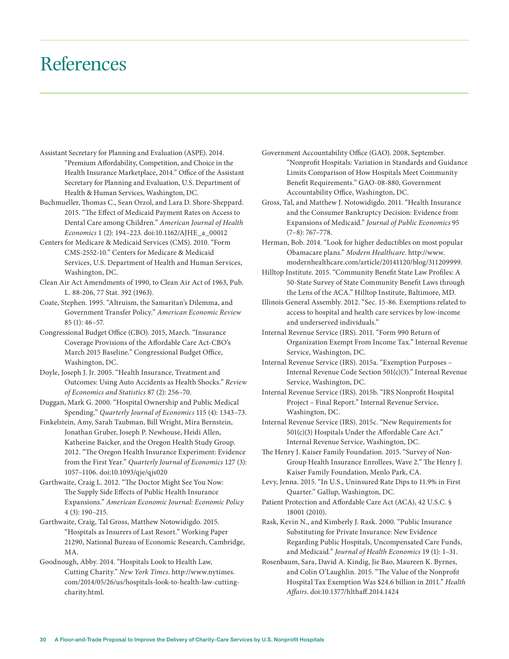## References

- Assistant Secretary for Planning and Evaluation (ASPE). 2014. "Premium Affordability, Competition, and Choice in the Health Insurance Marketplace, 2014." Office of the Assistant Secretary for Planning and Evaluation, U.S. Department of Health & Human Services, Washington, DC.
- Buchmueller, Thomas C., Sean Orzol, and Lara D. Shore-Sheppard. 2015. "The Effect of Medicaid Payment Rates on Access to Dental Care among Children." *American Journal of Health Economics* 1 (2): 194–223. doi:10.1162/AJHE\_a\_00012
- Centers for Medicare & Medicaid Services (CMS). 2010. "Form CMS-2552-10." Centers for Medicare & Medicaid Services, U.S. Department of Health and Human Services, Washington, DC.
- Clean Air Act Amendments of 1990, to Clean Air Act of 1963, Pub. L. 88-206, 77 Stat. 392 (1963).
- Coate, Stephen. 1995. "Altruism, the Samaritan's Dilemma, and Government Transfer Policy." *American Economic Review*  85 (1): 46–57.
- Congressional Budget Office (CBO). 2015, March. "Insurance Coverage Provisions of the Affordable Care Act-CBO's March 2015 Baseline." Congressional Budget Office, Washington, DC.
- Doyle, Joseph J. Jr. 2005. "Health Insurance, Treatment and Outcomes: Using Auto Accidents as Health Shocks." *Review of Economics and Statistics* 87 (2): 256–70.
- Duggan, Mark G. 2000. "Hospital Ownership and Public Medical Spending." *Quarterly Journal of Economics* 115 (4): 1343–73.
- Finkelstein, Amy, Sarah Taubman, Bill Wright, Mira Bernstein, Jonathan Gruber, Joseph P. Newhouse, Heidi Allen, Katherine Baicker, and the Oregon Health Study Group. 2012. "The Oregon Health Insurance Experiment: Evidence from the First Year." *Quarterly Journal of Economics* 127 (3): 1057–1106. doi:10.1093/qje/qjs020
- Garthwaite, Craig L. 2012. "The Doctor Might See You Now: The Supply Side Effects of Public Health Insurance Expansions." *American Economic Journal: Economic Policy* 4 (3): 190–215.
- Garthwaite, Craig, Tal Gross, Matthew Notowidigdo. 2015. "Hospitals as Insurers of Last Resort." Working Paper 21290, National Bureau of Economic Research, Cambridge, MA.
- Goodnough, Abby. 2014. "Hospitals Look to Health Law, Cutting Charity." *New York Times*. http://www.nytimes. com/2014/05/26/us/hospitals-look-to-health-law-cuttingcharity.html.
- Government Accountability Office (GAO). 2008, September. "Nonprofit Hospitals: Variation in Standards and Guidance Limits Comparison of How Hospitals Meet Community Benefit Requirements." GAO-08-880, Government Accountability Office, Washington, DC.
- Gross, Tal, and Matthew J. Notowidigdo. 2011. "Health Insurance and the Consumer Bankruptcy Decision: Evidence from Expansions of Medicaid." *Journal of Public Economics* 95 (7–8): 767–778.
- Herman, Bob. 2014. "Look for higher deductibles on most popular Obamacare plans." *Modern Healthcare*. http://www. modernhealthcare.com/article/20141120/blog/311209999.
- Hilltop Institute. 2015. "Community Benefit State Law Profiles: A 50-State Survey of State Community Benefit Laws through the Lens of the ACA." Hilltop Institute, Baltimore, MD.
- Illinois General Assembly. 2012. "Sec. 15-86. Exemptions related to access to hospital and health care services by low-income and underserved individuals."
- Internal Revenue Service (IRS). 2011. "Form 990 Return of Organization Exempt From Income Tax." Internal Revenue Service, Washington, DC.
- Internal Revenue Service (IRS). 2015a. "Exemption Purposes Internal Revenue Code Section 501(c)(3)." Internal Revenue Service, Washington, DC.
- Internal Revenue Service (IRS). 2015b. "IRS Nonprofit Hospital Project – Final Report." Internal Revenue Service, Washington, DC.
- Internal Revenue Service (IRS). 2015c. "New Requirements for 501(c)(3) Hospitals Under the Affordable Care Act." Internal Revenue Service, Washington, DC.
- The Henry J. Kaiser Family Foundation. 2015. "Survey of Non-Group Health Insurance Enrollees, Wave 2." The Henry J. Kaiser Family Foundation, Menlo Park, CA.
- Levy, Jenna. 2015. "In U.S., Uninsured Rate Dips to 11.9% in First Quarter." Gallup, Washington, DC.
- Patient Protection and Affordable Care Act (ACA), 42 U.S.C. § 18001 (2010).
- Rask, Kevin N., and Kimberly J. Rask. 2000. "Public Insurance Substituting for Private Insurance: New Evidence Regarding Public Hospitals, Uncompensated Care Funds, and Medicaid." *Journal of Health Economics* 19 (1): 1–31.
- Rosenbaum, Sara, David A. Kindig, Jie Bao, Maureen K. Byrnes, and Colin O'Laughlin. 2015. "The Value of the Nonprofit Hospital Tax Exemption Was \$24.6 billion in 2011." *Health Affairs*. doi:10.1377/hlthaff.2014.1424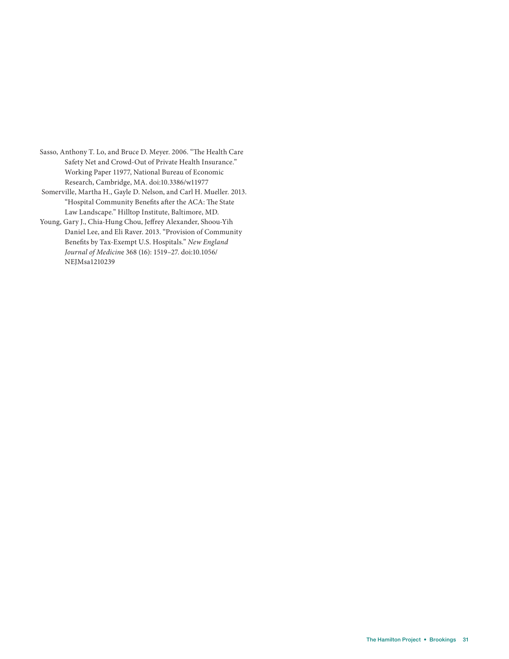- Sasso, Anthony T. Lo, and Bruce D. Meyer. 2006. "The Health Care Safety Net and Crowd-Out of Private Health Insurance." Working Paper 11977, National Bureau of Economic Research, Cambridge, MA. doi:10.3386/w11977
- Somerville, Martha H., Gayle D. Nelson, and Carl H. Mueller. 2013. "Hospital Community Benefits after the ACA: The State Law Landscape." Hilltop Institute, Baltimore, MD.
- Young, Gary J., Chia-Hung Chou, Jeffrey Alexander, Shoou-Yih Daniel Lee, and Eli Raver. 2013. "Provision of Community Benefits by Tax-Exempt U.S. Hospitals." *New England Journal of Medicin*e 368 (16): 1519–27. doi:10.1056/ NEJMsa1210239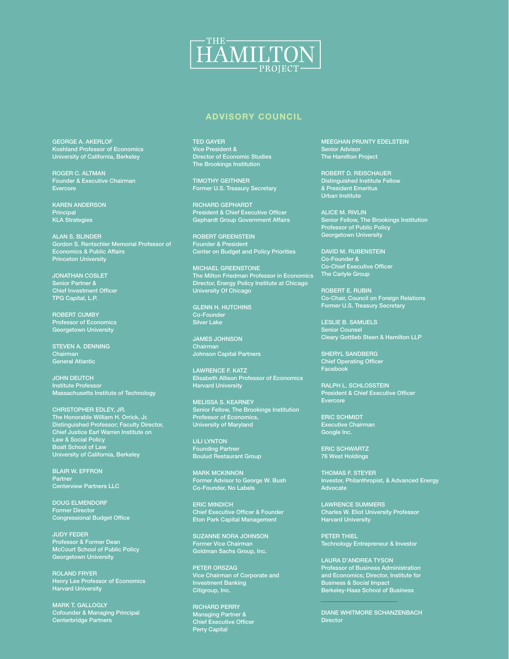

#### **ADVISORY COUNCIL**

GEORGE A. AKERLOF Koshland Professor of Economics University of California, Berkeley

ROGER C. ALTMAN Founder & Executive Chairman Evercore

KAREN ANDERSON Principal KLA Strategies

ALAN S. BLINDER Gordon S. Rentschler Memorial Professor of Economics & Public Affairs Princeton University

JONATHAN COSLET Senior Partner & Chief Investment Officer TPG Capital, L.P.

ROBERT CUMBY Professor of Economics Georgetown University

STEVEN A. DENNING Chairman General Atlantic

JOHN DEUTCH Institute Professor Massachusetts Institute of Technology

CHRISTOPHER EDLEY, JR. The Honorable William H. Orrick, Jr. Distinguished Professor; Faculty Director, Chief Justice Earl Warren Institute on Law & Social Policy Boalt School of Law University of California, Berkeley

BLAIR W. EFFRON Partner Centerview Partners LLC

DOUG ELMENDORF Former Director Congressional Budget Office

JUDY FEDER Professor & Former Dean McCourt School of Public Policy Georgetown University

ROLAND FRYER Henry Lee Professor of Economics Harvard University

MARK T. GALLOGLY Cofounder & Managing Principal Centerbridge Partners

TED GAYER Vice President & Director of Economic Studies The Brookings Institution

TIMOTHY GEITHNER Former U.S. Treasury Secretary

RICHARD GEPHARDT President & Chief Executive Officer Gephardt Group Government Affairs

ROBERT GREENSTEIN Founder & President Center on Budget and Policy Priorities

MICHAEL GREENSTONE The Milton Friedman Professor in Economics Director, Energy Policy Institute at Chicago University Of Chicago

GLENN H. HUTCHINS Co-Founder Silver Lake

JAMES JOHNSON Chairman Johnson Capital Partners

LAWRENCE F. KATZ Elisabeth Allison Professor of Economics Harvard University

MELISSA S. KEARNEY Senior Fellow, The Brookings Institution Professor of Economics, University of Maryland

LILI LYNTON Founding Partner Boulud Restaurant Group

MARK MCKINNON Former Advisor to George W. Bush Co-Founder, No Labels

ERIC MINDICH Chief Executive Officer & Founder Eton Park Capital Management

SUZANNE NORA JOHNSON Former Vice Chairman Goldman Sachs Group, Inc.

PETER ORSZAG Vice Chairman of Corporate and Investment Banking Citigroup, Inc.

RICHARD PERRY Managing Partner & Chief Executive Officer Perry Capital

MEEGHAN PRUNTY EDELSTEIN Senior Advisor The Hamilton Project

ROBERT D. REISCHAUER Distinguished Institute Fellow & President Emeritus Urban Institute

ALICE M. RIVLIN Senior Fellow, The Brookings Institution Professor of Public Policy Georgetown University

DAVID M. RUBENSTEIN Co-Founder & Co-Chief Executive Officer The Carlyle Group

ROBERT E. RUBIN Co-Chair, Council on Foreign Relations Former U.S. Treasury Secretary

LESLIE B. SAMUELS Senior Counsel Cleary Gottlieb Steen & Hamilton LLP

SHERYL SANDBERG Chief Operating Officer Facebook

RALPH L. SCHLOSSTEIN President & Chief Executive Officer **Evercore** 

ERIC SCHMIDT Executive Chairman Google Inc.

ERIC SCHWARTZ 76 West Holdings

THOMAS F. STEYER Investor, Philanthropist, & Advanced Energy Advocate

LAWRENCE SUMMERS Charles W. Eliot University Professor Harvard University

PETER THIEL Technology Entrepreneur & Investor

LAURA D'ANDREA TYSON Professor of Business Administration and Economics; Director, Institute for Business & Social Impact Berkeley-Haas School of Business

DIANE WHITMORE SCHANZENBACH **Director**